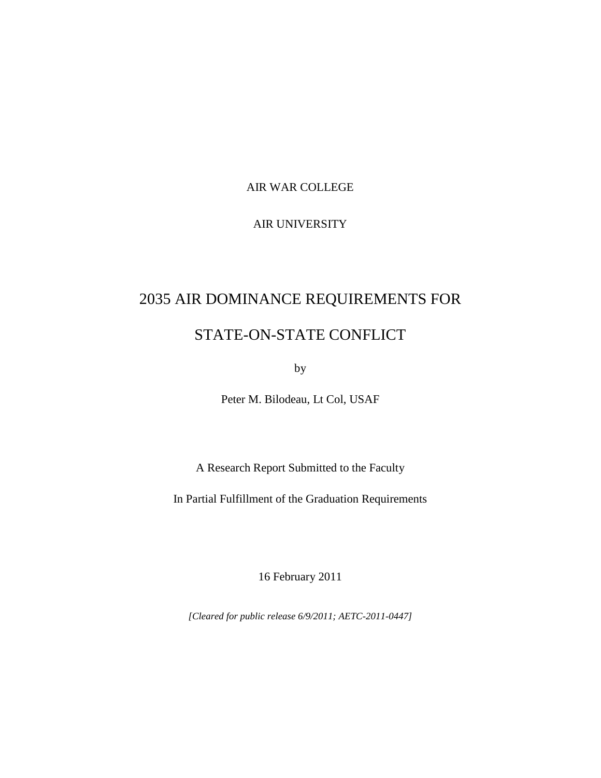#### AIR WAR COLLEGE

### AIR UNIVERSITY

# 2035 AIR DOMINANCE REQUIREMENTS FOR

# STATE-ON-STATE CONFLICT

by

Peter M. Bilodeau, Lt Col, USAF

A Research Report Submitted to the Faculty

In Partial Fulfillment of the Graduation Requirements

16 February 2011

*[Cleared for public release 6/9/2011; AETC-2011-0447]*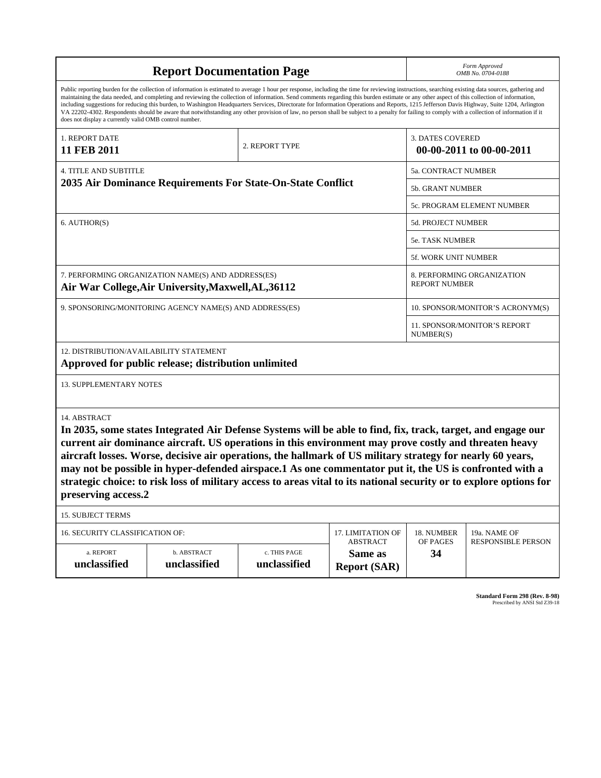| <b>Report Documentation Page</b>                            |                                                                                                                                                                                                                                                                                                                                                                                                                                                                                                                                                                                                                                                                                                                                                                                                          |                              |                                      |                                  | Form Approved<br>OMB No. 0704-0188        |  |  |
|-------------------------------------------------------------|----------------------------------------------------------------------------------------------------------------------------------------------------------------------------------------------------------------------------------------------------------------------------------------------------------------------------------------------------------------------------------------------------------------------------------------------------------------------------------------------------------------------------------------------------------------------------------------------------------------------------------------------------------------------------------------------------------------------------------------------------------------------------------------------------------|------------------------------|--------------------------------------|----------------------------------|-------------------------------------------|--|--|
| does not display a currently valid OMB control number.      | Public reporting burden for the collection of information is estimated to average 1 hour per response, including the time for reviewing instructions, searching existing data sources, gathering and<br>maintaining the data needed, and completing and reviewing the collection of information. Send comments regarding this burden estimate or any other aspect of this collection of information,<br>including suggestions for reducing this burden, to Washington Headquarters Services, Directorate for Information Operations and Reports, 1215 Jefferson Davis Highway, Suite 1204, Arlington<br>VA 22202-4302. Respondents should be aware that notwithstanding any other provision of law, no person shall be subject to a penalty for failing to comply with a collection of information if it |                              |                                      |                                  |                                           |  |  |
| 1. REPORT DATE<br>11 FEB 2011                               |                                                                                                                                                                                                                                                                                                                                                                                                                                                                                                                                                                                                                                                                                                                                                                                                          | 2. REPORT TYPE               |                                      | <b>3. DATES COVERED</b>          | 00-00-2011 to 00-00-2011                  |  |  |
| <b>4. TITLE AND SUBTITLE</b>                                |                                                                                                                                                                                                                                                                                                                                                                                                                                                                                                                                                                                                                                                                                                                                                                                                          |                              | 5a. CONTRACT NUMBER                  |                                  |                                           |  |  |
| 2035 Air Dominance Requirements For State-On-State Conflict |                                                                                                                                                                                                                                                                                                                                                                                                                                                                                                                                                                                                                                                                                                                                                                                                          |                              |                                      | 5b. GRANT NUMBER                 |                                           |  |  |
|                                                             |                                                                                                                                                                                                                                                                                                                                                                                                                                                                                                                                                                                                                                                                                                                                                                                                          |                              |                                      | 5c. PROGRAM ELEMENT NUMBER       |                                           |  |  |
| 6. AUTHOR(S)                                                |                                                                                                                                                                                                                                                                                                                                                                                                                                                                                                                                                                                                                                                                                                                                                                                                          |                              |                                      | 5d. PROJECT NUMBER               |                                           |  |  |
|                                                             |                                                                                                                                                                                                                                                                                                                                                                                                                                                                                                                                                                                                                                                                                                                                                                                                          |                              |                                      | 5e. TASK NUMBER                  |                                           |  |  |
|                                                             |                                                                                                                                                                                                                                                                                                                                                                                                                                                                                                                                                                                                                                                                                                                                                                                                          |                              |                                      | <b>5f. WORK UNIT NUMBER</b>      |                                           |  |  |
|                                                             | 7. PERFORMING ORGANIZATION NAME(S) AND ADDRESS(ES)<br>Air War College, Air University, Maxwell, AL, 36112                                                                                                                                                                                                                                                                                                                                                                                                                                                                                                                                                                                                                                                                                                |                              |                                      | <b>REPORT NUMBER</b>             | 8. PERFORMING ORGANIZATION                |  |  |
| 9. SPONSORING/MONITORING AGENCY NAME(S) AND ADDRESS(ES)     |                                                                                                                                                                                                                                                                                                                                                                                                                                                                                                                                                                                                                                                                                                                                                                                                          |                              |                                      | 10. SPONSOR/MONITOR'S ACRONYM(S) |                                           |  |  |
|                                                             |                                                                                                                                                                                                                                                                                                                                                                                                                                                                                                                                                                                                                                                                                                                                                                                                          |                              |                                      |                                  | 11. SPONSOR/MONITOR'S REPORT<br>NUMBER(S) |  |  |
| 12. DISTRIBUTION/AVAILABILITY STATEMENT                     | Approved for public release; distribution unlimited                                                                                                                                                                                                                                                                                                                                                                                                                                                                                                                                                                                                                                                                                                                                                      |                              |                                      |                                  |                                           |  |  |
| <b>13. SUPPLEMENTARY NOTES</b>                              |                                                                                                                                                                                                                                                                                                                                                                                                                                                                                                                                                                                                                                                                                                                                                                                                          |                              |                                      |                                  |                                           |  |  |
| 14. ABSTRACT<br>preserving access.2                         | In 2035, some states Integrated Air Defense Systems will be able to find, fix, track, target, and engage our<br>current air dominance aircraft. US operations in this environment may prove costly and threaten heavy<br>aircraft losses. Worse, decisive air operations, the hallmark of US military strategy for nearly 60 years,<br>may not be possible in hyper-defended airspace.1 As one commentator put it, the US is confronted with a<br>strategic choice: to risk loss of military access to areas vital to its national security or to explore options for                                                                                                                                                                                                                                    |                              |                                      |                                  |                                           |  |  |
| <b>15. SUBJECT TERMS</b>                                    |                                                                                                                                                                                                                                                                                                                                                                                                                                                                                                                                                                                                                                                                                                                                                                                                          |                              |                                      |                                  |                                           |  |  |
| 16. SECURITY CLASSIFICATION OF:                             |                                                                                                                                                                                                                                                                                                                                                                                                                                                                                                                                                                                                                                                                                                                                                                                                          |                              | 17. LIMITATION OF<br><b>ABSTRACT</b> | 18. NUMBER<br>OF PAGES           | 19a. NAME OF<br><b>RESPONSIBLE PERSON</b> |  |  |
| a. REPORT<br>unclassified                                   | b. ABSTRACT<br>unclassified                                                                                                                                                                                                                                                                                                                                                                                                                                                                                                                                                                                                                                                                                                                                                                              | c. THIS PAGE<br>unclassified | Same as<br><b>Report (SAR)</b>       | 34                               |                                           |  |  |

**Standard Form 298 (Rev. 8-98)**<br>Prescribed by ANSI Std Z39-18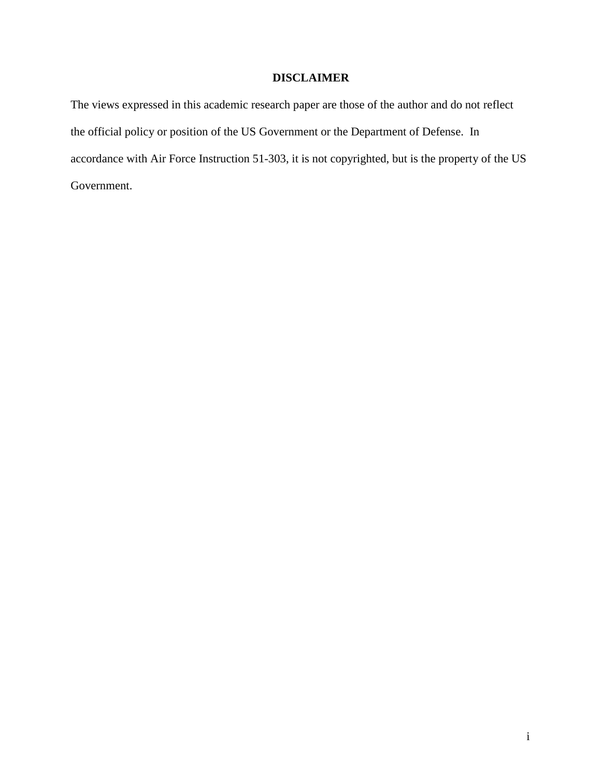## **DISCLAIMER**

The views expressed in this academic research paper are those of the author and do not reflect the official policy or position of the US Government or the Department of Defense. In accordance with Air Force Instruction 51-303, it is not copyrighted, but is the property of the US Government.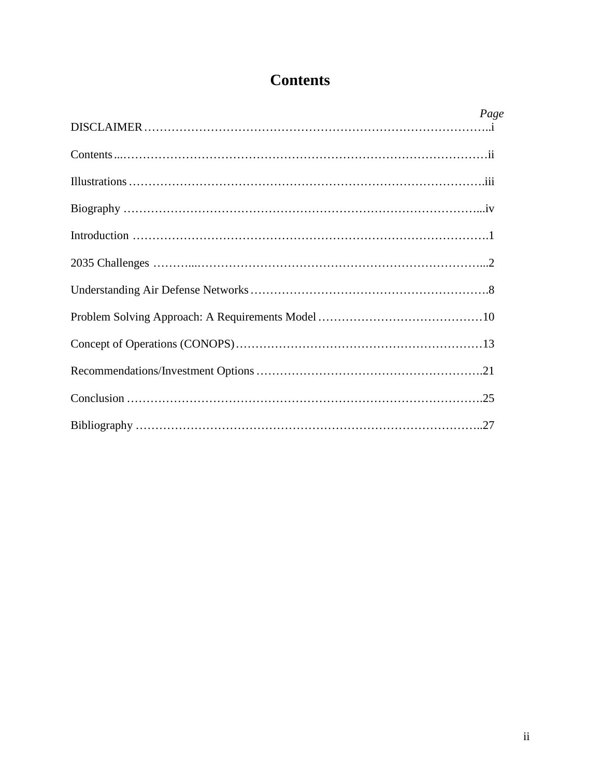# **Contents**

| Page |
|------|
|      |
|      |
|      |
|      |
|      |
|      |
|      |
|      |
|      |
|      |
|      |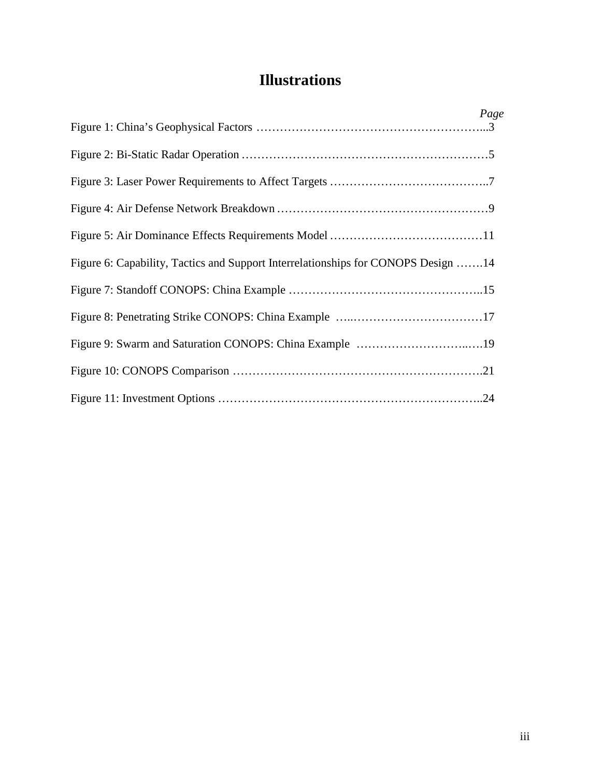# **Illustrations**

|                                                                                   | Page |
|-----------------------------------------------------------------------------------|------|
|                                                                                   |      |
|                                                                                   |      |
|                                                                                   |      |
|                                                                                   |      |
|                                                                                   |      |
| Figure 6: Capability, Tactics and Support Interrelationships for CONOPS Design 14 |      |
|                                                                                   |      |
|                                                                                   |      |
| Figure 9: Swarm and Saturation CONOPS: China Example 19                           |      |
|                                                                                   |      |
|                                                                                   |      |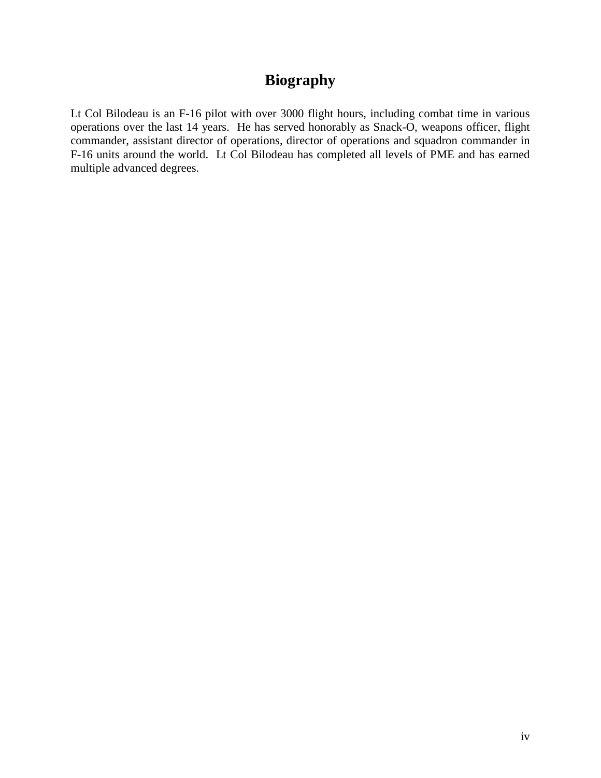# **Biography**

Lt Col Bilodeau is an F-16 pilot with over 3000 flight hours, including combat time in various operations over the last 14 years. He has served honorably as Snack-O, weapons officer, flight commander, assistant director of operations, director of operations and squadron commander in F-16 units around the world. Lt Col Bilodeau has completed all levels of PME and has earned multiple advanced degrees.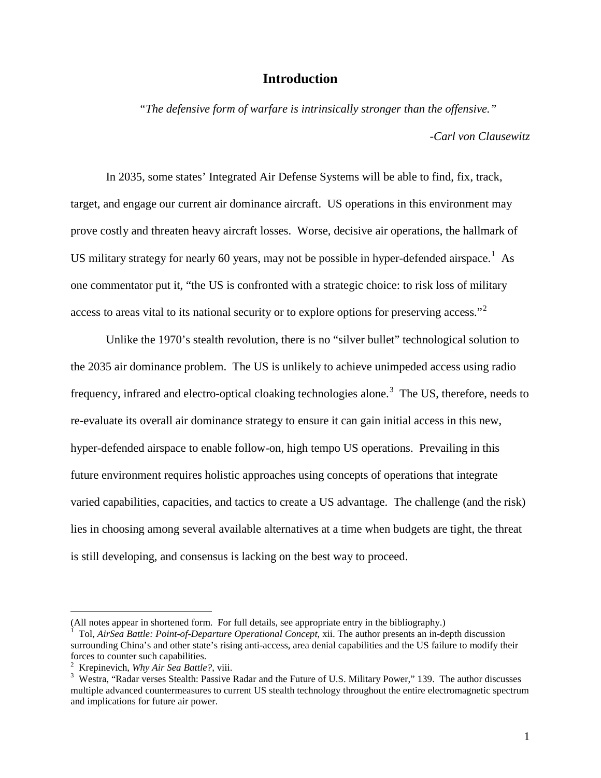### **Introduction**

*"The defensive form of warfare is intrinsically stronger than the offensive." -Carl von Clausewitz* 

In 2035, some states' Integrated Air Defense Systems will be able to find, fix, track, target, and engage our current air dominance aircraft. US operations in this environment may prove costly and threaten heavy aircraft losses. Worse, decisive air operations, the hallmark of US military strategy for nearly 60 years, may not be possible in hyper-defended airspace.<sup>1</sup> As one commentator put it, "the US is confronted with a strategic choice: to risk loss of military access to areas vital to its national security or to explore options for preserving access."<sup>2</sup>

Unlike the 1970's stealth revolution, there is no "silver bullet" technological solution to the 2035 air dominance problem. The US is unlikely to achieve unimpeded access using radio frequency, infrared and electro-optical cloaking technologies alone.<sup>3</sup> The US, therefore, needs to re-evaluate its overall air dominance strategy to ensure it can gain initial access in this new, hyper-defended airspace to enable follow-on, high tempo US operations. Prevailing in this future environment requires holistic approaches using concepts of operations that integrate varied capabilities, capacities, and tactics to create a US advantage. The challenge (and the risk) lies in choosing among several available alternatives at a time when budgets are tight, the threat is still developing, and consensus is lacking on the best way to proceed.

<sup>(</sup>All notes appear in shortened form. For full details, see appropriate entry in the bibliography.)

<sup>1</sup> Tol, *AirSea Battle: Point-of-Departure Operational Concept,* xii. The author presents an in-depth discussion surrounding China's and other state's rising anti-access, area denial capabilities and the US failure to modify their forces to counter such capabilities.

<sup>&</sup>lt;sup>2</sup> Krepinevich, *Why Air Sea Battle?*, viii.<br><sup>3</sup> Westre "Pader verses Stealth: Passive.

<sup>&</sup>lt;sup>3</sup> Westra, "Radar verses Stealth: Passive Radar and the Future of U.S. Military Power," 139. The author discusses multiple advanced countermeasures to current US stealth technology throughout the entire electromagnetic spectrum and implications for future air power.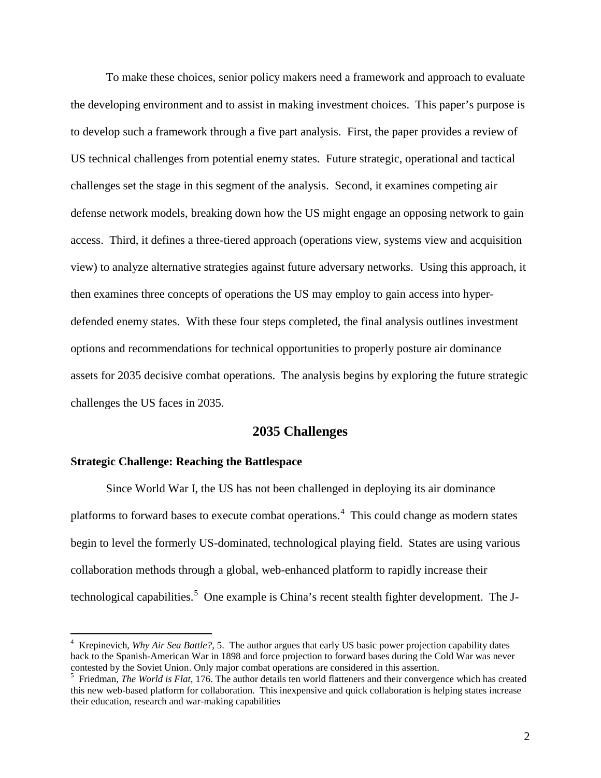To make these choices, senior policy makers need a framework and approach to evaluate the developing environment and to assist in making investment choices. This paper's purpose is to develop such a framework through a five part analysis. First, the paper provides a review of US technical challenges from potential enemy states. Future strategic, operational and tactical challenges set the stage in this segment of the analysis. Second, it examines competing air defense network models, breaking down how the US might engage an opposing network to gain access. Third, it defines a three-tiered approach (operations view, systems view and acquisition view) to analyze alternative strategies against future adversary networks. Using this approach, it then examines three concepts of operations the US may employ to gain access into hyperdefended enemy states. With these four steps completed, the final analysis outlines investment options and recommendations for technical opportunities to properly posture air dominance assets for 2035 decisive combat operations. The analysis begins by exploring the future strategic challenges the US faces in 2035.

#### **2035 Challenges**

#### **Strategic Challenge: Reaching the Battlespace**

 $\overline{a}$ 

Since World War I, the US has not been challenged in deploying its air dominance platforms to forward bases to execute combat operations.<sup>4</sup> This could change as modern states begin to level the formerly US-dominated, technological playing field. States are using various collaboration methods through a global, web-enhanced platform to rapidly increase their technological capabilities.<sup>5</sup> One example is China's recent stealth fighter development. The J-

<sup>4</sup> Krepinevich, *Why Air Sea Battle?*, 5. The author argues that early US basic power projection capability dates back to the Spanish-American War in 1898 and force projection to forward bases during the Cold War was never contested by the Soviet Union. Only major combat operations are considered in this assertion.

<sup>5</sup> Friedman, *The World is Flat,* 176. The author details ten world flatteners and their convergence which has created this new web-based platform for collaboration. This inexpensive and quick collaboration is helping states increase their education, research and war-making capabilities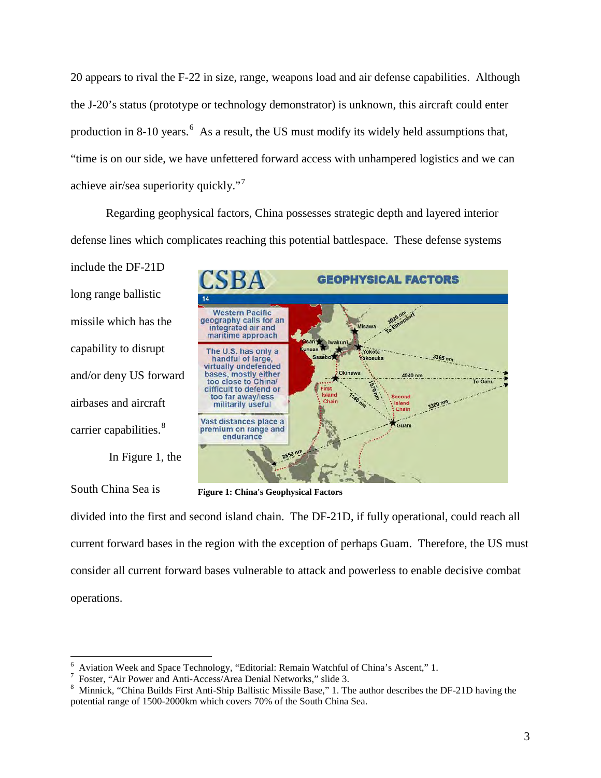20 appears to rival the F-22 in size, range, weapons load and air defense capabilities. Although the J-20's status (prototype or technology demonstrator) is unknown, this aircraft could enter production in 8-10 years.  $6$  As a result, the US must modify its widely held assumptions that, "time is on our side, we have unfettered forward access with unhampered logistics and we can achieve air/sea superiority quickly."<sup>7</sup>

Regarding geophysical factors, China possesses strategic depth and layered interior defense lines which complicates reaching this potential battlespace. These defense systems

include the DF-21D long range ballistic missile which has the capability to disrupt and/or deny US forward airbases and aircraft carrier capabilities.<sup>8</sup>

In Figure 1, the

South China Sea is

 $\overline{a}$ 



**Figure 1: China's Geophysical Factors**

divided into the first and second island chain. The DF-21D, if fully operational, could reach all current forward bases in the region with the exception of perhaps Guam. Therefore, the US must consider all current forward bases vulnerable to attack and powerless to enable decisive combat operations.

<sup>&</sup>lt;sup>6</sup> Aviation Week and Space Technology, "Editorial: Remain Watchful of China's Ascent," 1.<br><sup>7</sup> Eoster "Air Power and Anti-Access/Area Donial Networks" slide 3

<sup>&</sup>lt;sup>7</sup> Foster, "Air Power and Anti-Access/Area Denial Networks," slide 3.

<sup>&</sup>lt;sup>8</sup> Minnick, "China Builds First Anti-Ship Ballistic Missile Base," 1. The author describes the DF-21D having the potential range of 1500-2000km which covers 70% of the South China Sea.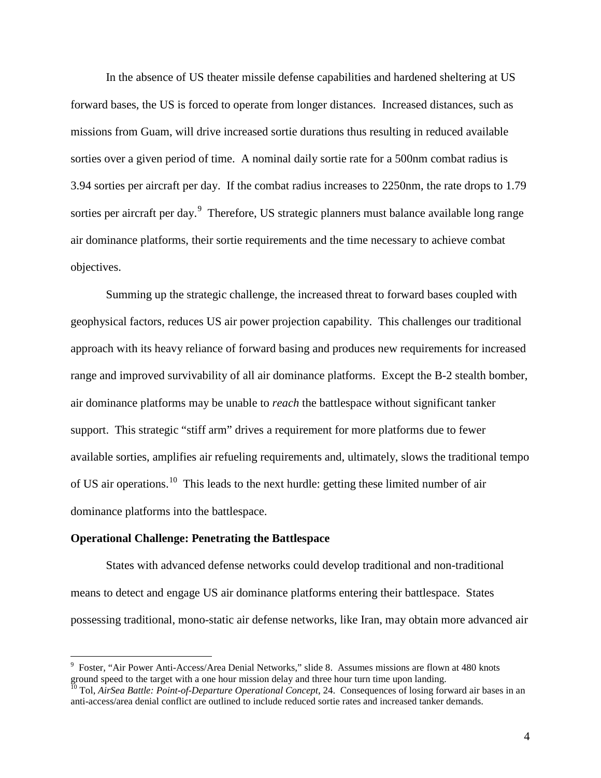In the absence of US theater missile defense capabilities and hardened sheltering at US forward bases, the US is forced to operate from longer distances. Increased distances, such as missions from Guam, will drive increased sortie durations thus resulting in reduced available sorties over a given period of time. A nominal daily sortie rate for a 500nm combat radius is 3.94 sorties per aircraft per day. If the combat radius increases to 2250nm, the rate drops to 1.79 sorties per aircraft per day.<sup>9</sup> Therefore, US strategic planners must balance available long range air dominance platforms, their sortie requirements and the time necessary to achieve combat objectives.

Summing up the strategic challenge, the increased threat to forward bases coupled with geophysical factors, reduces US air power projection capability. This challenges our traditional approach with its heavy reliance of forward basing and produces new requirements for increased range and improved survivability of all air dominance platforms. Except the B-2 stealth bomber, air dominance platforms may be unable to *reach* the battlespace without significant tanker support. This strategic "stiff arm" drives a requirement for more platforms due to fewer available sorties, amplifies air refueling requirements and, ultimately, slows the traditional tempo of US air operations.<sup>10</sup> This leads to the next hurdle: getting these limited number of air dominance platforms into the battlespace.

#### **Operational Challenge: Penetrating the Battlespace**

 $\overline{a}$ 

States with advanced defense networks could develop traditional and non-traditional means to detect and engage US air dominance platforms entering their battlespace. States possessing traditional, mono-static air defense networks, like Iran, may obtain more advanced air

<sup>&</sup>lt;sup>9</sup> Foster, "Air Power Anti-Access/Area Denial Networks," slide 8. Assumes missions are flown at 480 knots ground speed to the target with a one hour mission delay and three hour turn time upon landing.

<sup>&</sup>lt;sup>10</sup> Tol, *AirSea Battle: Point-of-Departure Operational Concept*, 24. Consequences of losing forward air bases in an anti-access/area denial conflict are outlined to include reduced sortie rates and increased tanker demands.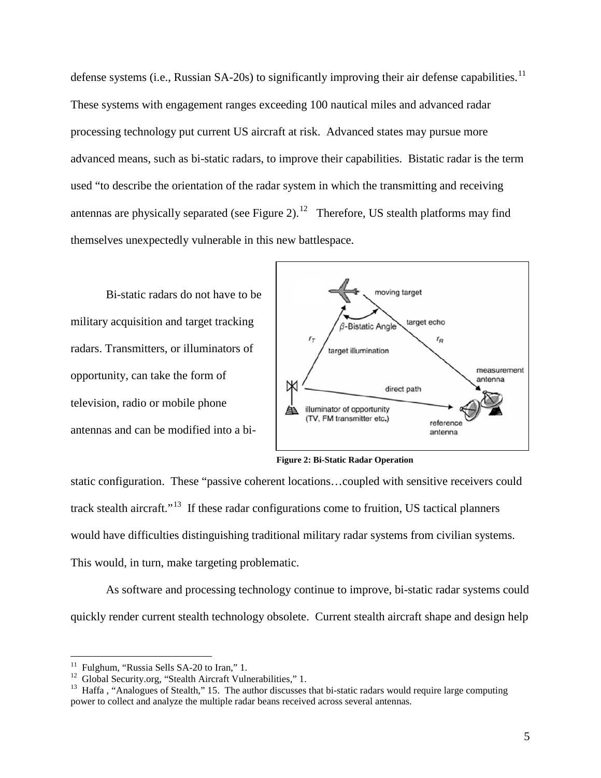defense systems (i.e., Russian SA-20s) to significantly improving their air defense capabilities.<sup>11</sup> These systems with engagement ranges exceeding 100 nautical miles and advanced radar processing technology put current US aircraft at risk. Advanced states may pursue more advanced means, such as bi-static radars, to improve their capabilities. Bistatic radar is the term used "to describe the orientation of the radar system in which the transmitting and receiving antennas are physically separated (see Figure 2).<sup>12</sup> Therefore, US stealth platforms may find themselves unexpectedly vulnerable in this new battlespace.

Bi-static radars do not have to be military acquisition and target tracking radars. Transmitters, or illuminators of opportunity, can take the form of television, radio or mobile phone antennas and can be modified into a bi-



**Figure 2: Bi-Static Radar Operation**

static configuration. These "passive coherent locations…coupled with sensitive receivers could track stealth aircraft."<sup>13</sup> If these radar configurations come to fruition, US tactical planners would have difficulties distinguishing traditional military radar systems from civilian systems. This would, in turn, make targeting problematic.

As software and processing technology continue to improve, bi-static radar systems could quickly render current stealth technology obsolete. Current stealth aircraft shape and design help

<sup>&</sup>lt;sup>11</sup> Fulghum, "Russia Sells SA-20 to Iran," 1.<br><sup>12</sup> Global Security.org, "Stealth Aircraft Vulnerabilities," 1.<br><sup>13</sup> Haffa , "Analogues of Stealth," 15. The author discusses that bi-static radars would require large compu power to collect and analyze the multiple radar beans received across several antennas.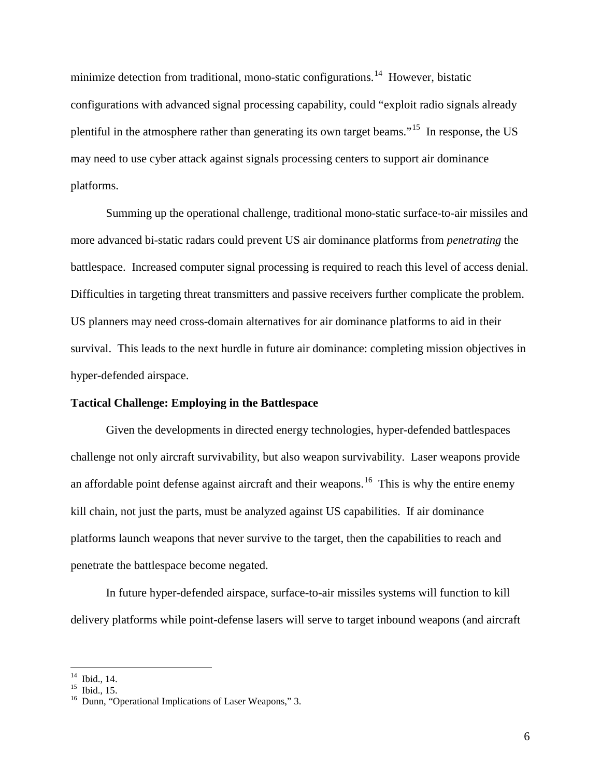minimize detection from traditional, mono-static configurations.<sup>14</sup> However, bistatic configurations with advanced signal processing capability, could "exploit radio signals already plentiful in the atmosphere rather than generating its own target beams."<sup>15</sup> In response, the US may need to use cyber attack against signals processing centers to support air dominance platforms.

Summing up the operational challenge, traditional mono-static surface-to-air missiles and more advanced bi-static radars could prevent US air dominance platforms from *penetrating* the battlespace. Increased computer signal processing is required to reach this level of access denial. Difficulties in targeting threat transmitters and passive receivers further complicate the problem. US planners may need cross-domain alternatives for air dominance platforms to aid in their survival. This leads to the next hurdle in future air dominance: completing mission objectives in hyper-defended airspace.

#### **Tactical Challenge: Employing in the Battlespace**

Given the developments in directed energy technologies, hyper-defended battlespaces challenge not only aircraft survivability, but also weapon survivability. Laser weapons provide an affordable point defense against aircraft and their weapons.<sup>16</sup> This is why the entire enemy kill chain, not just the parts, must be analyzed against US capabilities. If air dominance platforms launch weapons that never survive to the target, then the capabilities to reach and penetrate the battlespace become negated.

In future hyper-defended airspace, surface-to-air missiles systems will function to kill delivery platforms while point-defense lasers will serve to target inbound weapons (and aircraft

 $14$  Ibid., 14.

<sup>&</sup>lt;sup>15</sup> Ibid., 15.<br><sup>16</sup> Dunn, "Operational Implications of Laser Weapons," 3.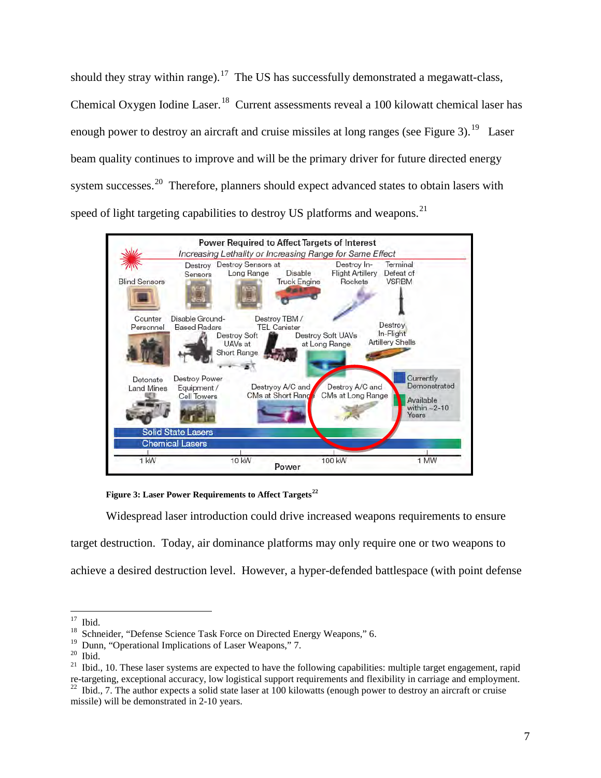should they stray within range).<sup>17</sup> The US has successfully demonstrated a megawatt-class. Chemical Oxygen Iodine Laser.<sup>18</sup> Current assessments reveal a 100 kilowatt chemical laser has enough power to destroy an aircraft and cruise missiles at long ranges (see Figure 3).<sup>19</sup> Laser beam quality continues to improve and will be the primary driver for future directed energy system successes.<sup>20</sup> Therefore, planners should expect advanced states to obtain lasers with speed of light targeting capabilities to destroy US platforms and weapons.<sup>21</sup>



 **Figure 3: Laser Power Requirements to Affect Targets<sup>22</sup>** 

Widespread laser introduction could drive increased weapons requirements to ensure

target destruction. Today, air dominance platforms may only require one or two weapons to achieve a desired destruction level. However, a hyper-defended battlespace (with point defense

 $17\,$ 

<sup>&</sup>lt;sup>17</sup> Ibid.<br><sup>18</sup> Schneider, "Defense Science Task Force on Directed Energy Weapons," 6.<br><sup>19</sup> Dunn. "Operational Implications of Laser Weapons," 7.

<sup>&</sup>lt;sup>19</sup> Dunn, "Operational Implications of Laser Weapons," 7.<br><sup>20</sup> Ibid. 21 Ibid., 10. These laser systems are expected to have the following capabilities: multiple target engagement, rapid re-targeting, exceptional accuracy, low logistical support requirements and flexibility in carriage and employment.<br><sup>22</sup> Ibid., 7. The author expects a solid state laser at 100 kilowatts (enough power to destroy an aircraf

missile) will be demonstrated in 2-10 years.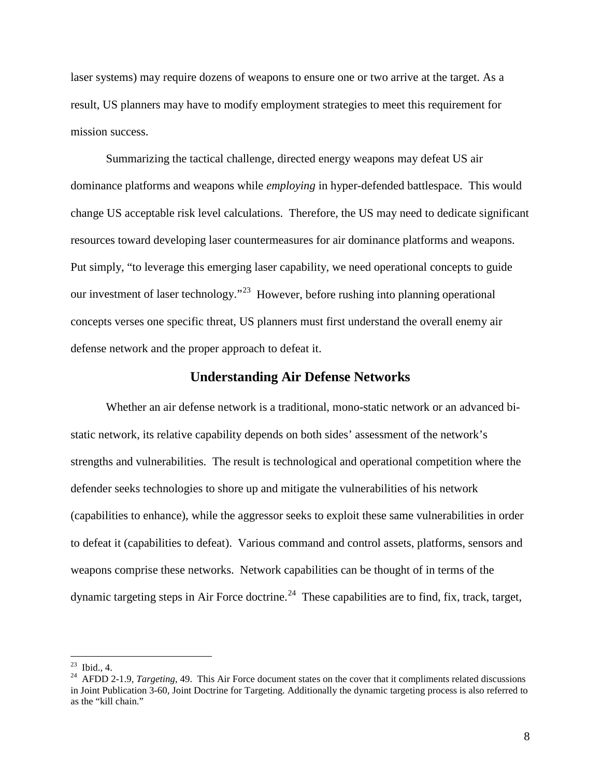laser systems) may require dozens of weapons to ensure one or two arrive at the target. As a result, US planners may have to modify employment strategies to meet this requirement for mission success.

Summarizing the tactical challenge, directed energy weapons may defeat US air dominance platforms and weapons while *employing* in hyper-defended battlespace. This would change US acceptable risk level calculations. Therefore, the US may need to dedicate significant resources toward developing laser countermeasures for air dominance platforms and weapons. Put simply, "to leverage this emerging laser capability, we need operational concepts to guide our investment of laser technology."<sup>23</sup> However, before rushing into planning operational concepts verses one specific threat, US planners must first understand the overall enemy air defense network and the proper approach to defeat it.

#### **Understanding Air Defense Networks**

Whether an air defense network is a traditional, mono-static network or an advanced bistatic network, its relative capability depends on both sides' assessment of the network's strengths and vulnerabilities. The result is technological and operational competition where the defender seeks technologies to shore up and mitigate the vulnerabilities of his network (capabilities to enhance), while the aggressor seeks to exploit these same vulnerabilities in order to defeat it (capabilities to defeat). Various command and control assets, platforms, sensors and weapons comprise these networks. Network capabilities can be thought of in terms of the dynamic targeting steps in Air Force doctrine.<sup>24</sup> These capabilities are to find, fix, track, target,

 $^{23}$  Ibid., 4.

<sup>&</sup>lt;sup>24</sup> AFDD 2-1.9, *Targeting*, 49. This Air Force document states on the cover that it compliments related discussions in Joint Publication 3-60, Joint Doctrine for Targeting. Additionally the dynamic targeting process is also referred to as the "kill chain."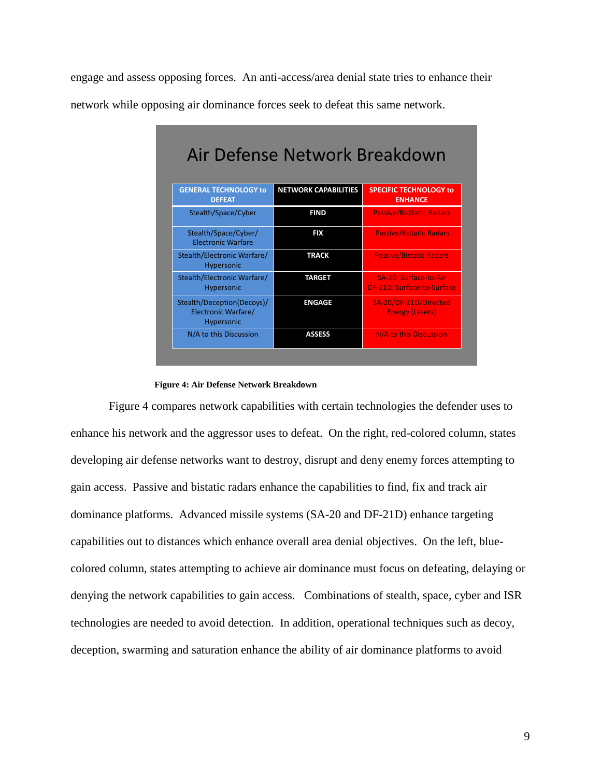engage and assess opposing forces. An anti-access/area denial state tries to enhance their network while opposing air dominance forces seek to defeat this same network.

| <b>GENERAL TECHNOLOGY to</b><br><b>DEFEAT</b>                   | <b>NETWORK CAPABILITIES</b> | <b>SPECIFIC TECHNOLOGY to</b><br><b>ENHANCE</b>     |
|-----------------------------------------------------------------|-----------------------------|-----------------------------------------------------|
| Stealth/Space/Cyber                                             | <b>FIND</b>                 | <b>Passive/Bi-Static Radars</b>                     |
| Stealth/Space/Cyber/<br><b>Electronic Warfare</b>               | <b>FIX</b>                  | <b>Passive/Bistatic Radars</b>                      |
| Stealth/Electronic Warfare/<br>Hypersonic                       | <b>TRACK</b>                | <b>Passive/Bistatic Radars</b>                      |
| Stealth/Electronic Warfare/<br>Hypersonic                       | <b>TARGET</b>               | SA-20: Surface-to-Air<br>DF-21D: Surface-to-Surface |
| Stealth/Deception(Decoys)/<br>Electronic Warfare/<br>Hypersonic | <b>ENGAGE</b>               | SA-20/DF-21D/Directed<br><b>Energy (Lasers)</b>     |
| N/A to this Discussion                                          | <b>ASSESS</b>               | N/A to this Discussion                              |

#### **Figure 4: Air Defense Network Breakdown**

Figure 4 compares network capabilities with certain technologies the defender uses to enhance his network and the aggressor uses to defeat. On the right, red-colored column, states developing air defense networks want to destroy, disrupt and deny enemy forces attempting to gain access. Passive and bistatic radars enhance the capabilities to find, fix and track air dominance platforms. Advanced missile systems (SA-20 and DF-21D) enhance targeting capabilities out to distances which enhance overall area denial objectives. On the left, bluecolored column, states attempting to achieve air dominance must focus on defeating, delaying or denying the network capabilities to gain access. Combinations of stealth, space, cyber and ISR technologies are needed to avoid detection. In addition, operational techniques such as decoy, deception, swarming and saturation enhance the ability of air dominance platforms to avoid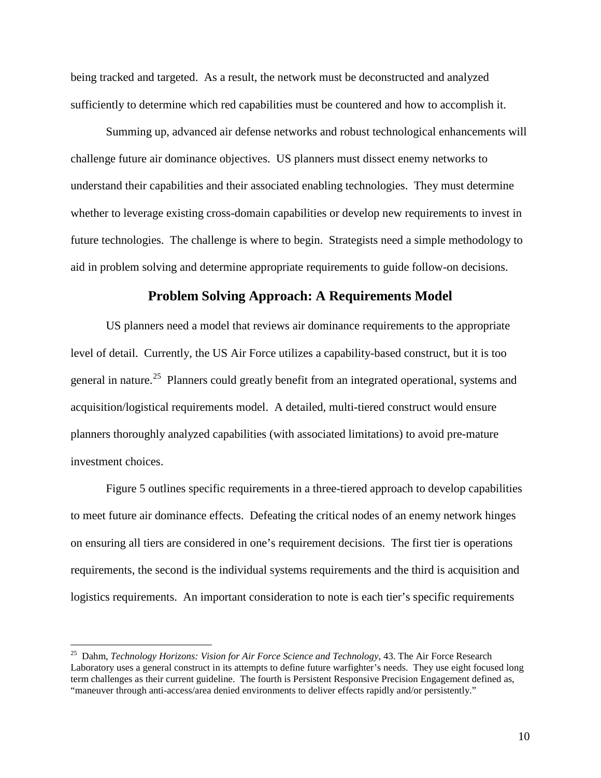being tracked and targeted. As a result, the network must be deconstructed and analyzed sufficiently to determine which red capabilities must be countered and how to accomplish it.

Summing up, advanced air defense networks and robust technological enhancements will challenge future air dominance objectives. US planners must dissect enemy networks to understand their capabilities and their associated enabling technologies. They must determine whether to leverage existing cross-domain capabilities or develop new requirements to invest in future technologies. The challenge is where to begin. Strategists need a simple methodology to aid in problem solving and determine appropriate requirements to guide follow-on decisions.

### **Problem Solving Approach: A Requirements Model**

US planners need a model that reviews air dominance requirements to the appropriate level of detail. Currently, the US Air Force utilizes a capability-based construct, but it is too general in nature.<sup>25</sup> Planners could greatly benefit from an integrated operational, systems and acquisition/logistical requirements model. A detailed, multi-tiered construct would ensure planners thoroughly analyzed capabilities (with associated limitations) to avoid pre-mature investment choices.

Figure 5 outlines specific requirements in a three-tiered approach to develop capabilities to meet future air dominance effects. Defeating the critical nodes of an enemy network hinges on ensuring all tiers are considered in one's requirement decisions. The first tier is operations requirements, the second is the individual systems requirements and the third is acquisition and logistics requirements. An important consideration to note is each tier's specific requirements

<sup>25</sup> Dahm, *Technology Horizons: Vision for Air Force Science and Technology*, 43. The Air Force Research Laboratory uses a general construct in its attempts to define future warfighter's needs. They use eight focused long term challenges as their current guideline. The fourth is Persistent Responsive Precision Engagement defined as, "maneuver through anti-access/area denied environments to deliver effects rapidly and/or persistently."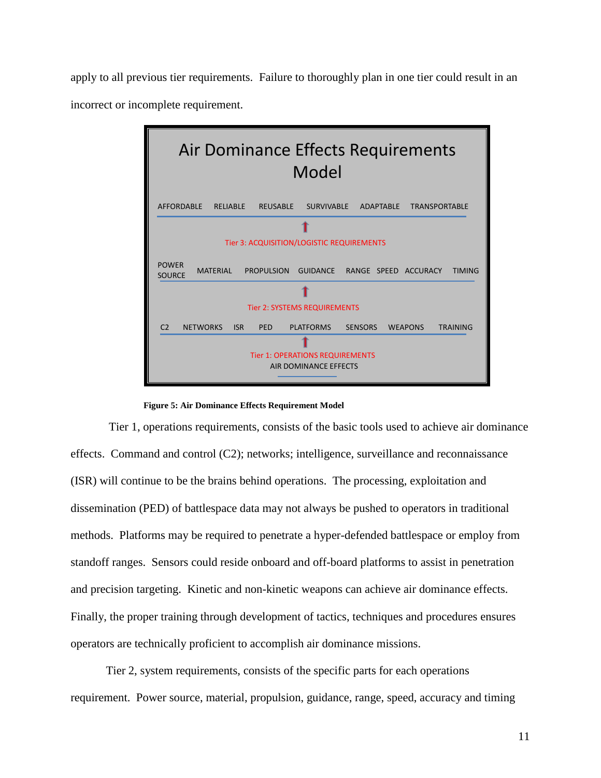apply to all previous tier requirements. Failure to thoroughly plan in one tier could result in an incorrect or incomplete requirement.



#### **Figure 5: Air Dominance Effects Requirement Model**

 Tier 1, operations requirements, consists of the basic tools used to achieve air dominance effects. Command and control (C2); networks; intelligence, surveillance and reconnaissance (ISR) will continue to be the brains behind operations. The processing, exploitation and dissemination (PED) of battlespace data may not always be pushed to operators in traditional methods. Platforms may be required to penetrate a hyper-defended battlespace or employ from standoff ranges. Sensors could reside onboard and off-board platforms to assist in penetration and precision targeting. Kinetic and non-kinetic weapons can achieve air dominance effects. Finally, the proper training through development of tactics, techniques and procedures ensures operators are technically proficient to accomplish air dominance missions.

Tier 2, system requirements, consists of the specific parts for each operations requirement. Power source, material, propulsion, guidance, range, speed, accuracy and timing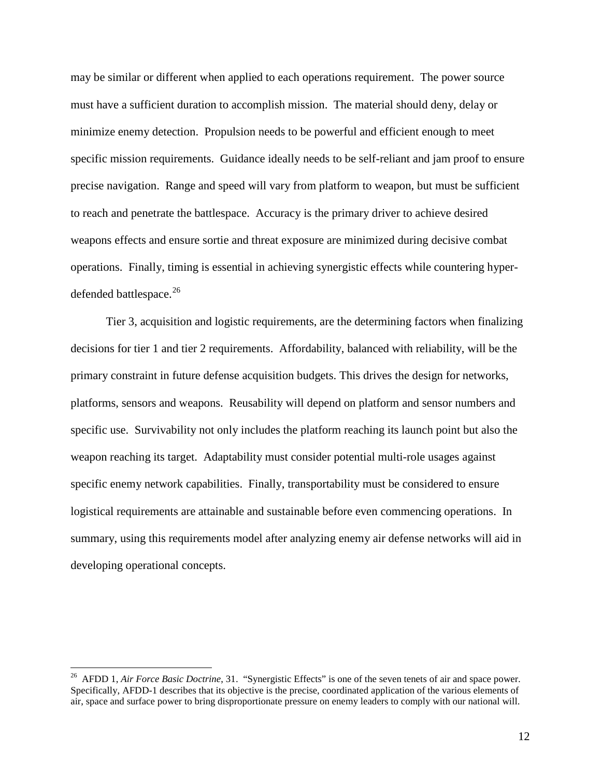may be similar or different when applied to each operations requirement. The power source must have a sufficient duration to accomplish mission. The material should deny, delay or minimize enemy detection. Propulsion needs to be powerful and efficient enough to meet specific mission requirements. Guidance ideally needs to be self-reliant and jam proof to ensure precise navigation. Range and speed will vary from platform to weapon, but must be sufficient to reach and penetrate the battlespace. Accuracy is the primary driver to achieve desired weapons effects and ensure sortie and threat exposure are minimized during decisive combat operations. Finally, timing is essential in achieving synergistic effects while countering hyperdefended battlespace.<sup>26</sup>

Tier 3, acquisition and logistic requirements, are the determining factors when finalizing decisions for tier 1 and tier 2 requirements. Affordability, balanced with reliability, will be the primary constraint in future defense acquisition budgets. This drives the design for networks, platforms, sensors and weapons. Reusability will depend on platform and sensor numbers and specific use. Survivability not only includes the platform reaching its launch point but also the weapon reaching its target. Adaptability must consider potential multi-role usages against specific enemy network capabilities. Finally, transportability must be considered to ensure logistical requirements are attainable and sustainable before even commencing operations. In summary, using this requirements model after analyzing enemy air defense networks will aid in developing operational concepts.

<sup>26</sup> AFDD 1, *Air Force Basic Doctrine*, 31. "Synergistic Effects" is one of the seven tenets of air and space power. Specifically, AFDD-1 describes that its objective is the precise, coordinated application of the various elements of air, space and surface power to bring disproportionate pressure on enemy leaders to comply with our national will.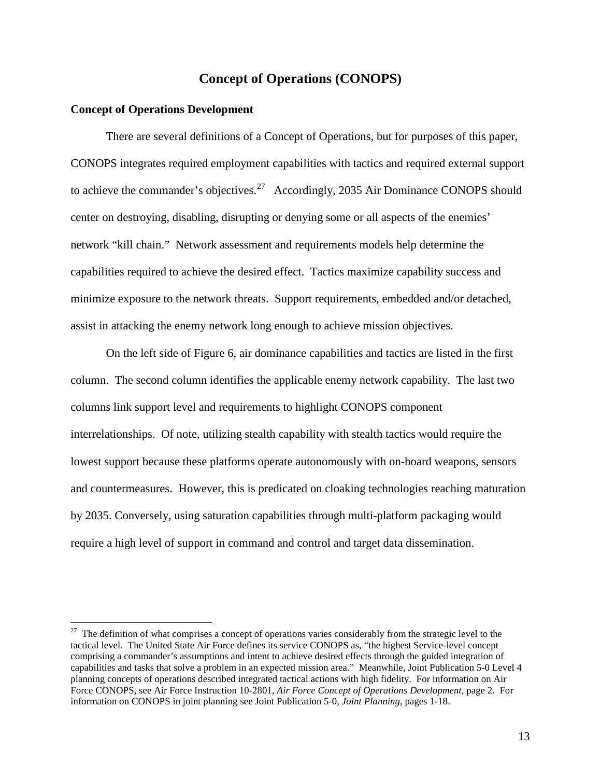## **Concept of Operations (CONOPS)**

#### **Concept of Operations Development**

 $\overline{a}$ 

There are several definitions of a Concept of Operations, but for purposes of this paper, CONOPS integrates required employment capabilities with tactics and required external support to achieve the commander's objectives.<sup>27</sup> Accordingly, 2035 Air Dominance CONOPS should center on destroying, disabling, disrupting or denying some or all aspects of the enemies' network "kill chain." Network assessment and requirements models help determine the capabilities required to achieve the desired effect. Tactics maximize capability success and minimize exposure to the network threats. Support requirements, embedded and/or detached, assist in attacking the enemy network long enough to achieve mission objectives.

On the left side of Figure 6, air dominance capabilities and tactics are listed in the first column. The second column identifies the applicable enemy network capability. The last two columns link support level and requirements to highlight CONOPS component interrelationships. Of note, utilizing stealth capability with stealth tactics would require the lowest support because these platforms operate autonomously with on-board weapons, sensors and countermeasures. However, this is predicated on cloaking technologies reaching maturation by 2035. Conversely, using saturation capabilities through multi-platform packaging would require a high level of support in command and control and target data dissemination.

<sup>&</sup>lt;sup>27</sup> The definition of what comprises a concept of operations varies considerably from the strategic level to the tactical level. The United State Air Force defines its service CONOPS as, "the highest Service-level concept comprising a commander's assumptions and intent to achieve desired effects through the guided integration of capabilities and tasks that solve a problem in an expected mission area." Meanwhile, Joint Publication 5-0 Level 4 planning concepts of operations described integrated tactical actions with high fidelity. For information on Air Force CONOPS, see Air Force Instruction 10-2801, *Air Force Concept of Operations Development*, page 2. For information on CONOPS in joint planning see Joint Publication 5-0, *Joint Planning*, pages 1-18.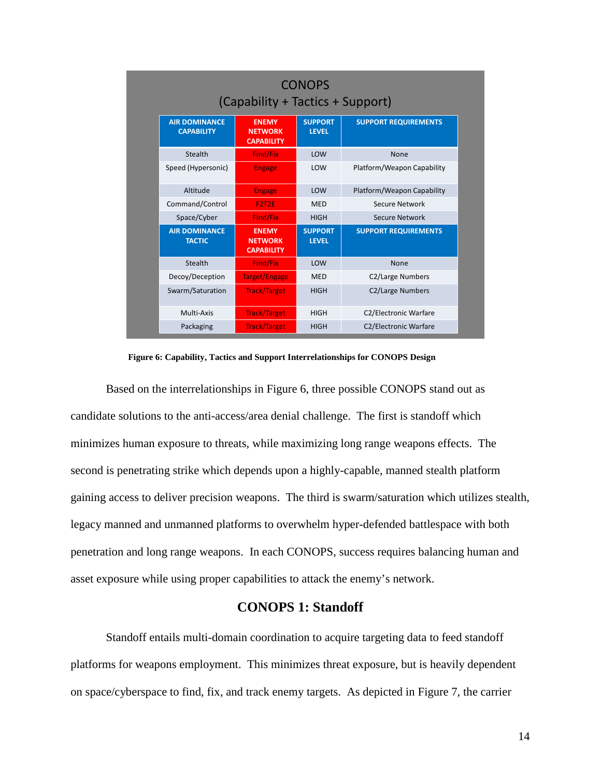|                                           | <b>CONOPS</b><br>(Capability + Tactics + Support)   |                                |                              |  |  |
|-------------------------------------------|-----------------------------------------------------|--------------------------------|------------------------------|--|--|
| <b>AIR DOMINANCE</b><br><b>CAPABILITY</b> | <b>ENEMY</b><br><b>NETWORK</b><br><b>CAPABILITY</b> | <b>SUPPORT</b><br><b>LEVEL</b> | <b>SUPPORT REQUIREMENTS</b>  |  |  |
| Stealth                                   | Find/Fix                                            | LOW                            | <b>None</b>                  |  |  |
| Speed (Hypersonic)                        | <b>Engage</b>                                       | LOW                            | Platform/Weapon Capability   |  |  |
| Altitude                                  | <b>Engage</b>                                       | LOW                            | Platform/Weapon Capability   |  |  |
| Command/Control                           | F2T2E                                               | <b>MED</b>                     | Secure Network               |  |  |
| Space/Cyber                               | <b>Find/Fix</b>                                     | <b>HIGH</b>                    | Secure Network               |  |  |
| <b>AIR DOMINANCE</b><br><b>TACTIC</b>     | <b>ENEMY</b><br><b>NETWORK</b><br><b>CAPABILITY</b> | <b>SUPPORT</b><br><b>LEVEL</b> | <b>SUPPORT REQUIREMENTS</b>  |  |  |
| <b>Stealth</b>                            | <b>Find/Fix</b>                                     | LOW                            | None                         |  |  |
| Decoy/Deception                           | Target/Engage                                       | <b>MED</b>                     | C2/Large Numbers             |  |  |
| Swarm/Saturation                          | <b>Track/Target</b>                                 | <b>HIGH</b>                    | C2/Large Numbers             |  |  |
| Multi-Axis                                | <b>Track/Target</b>                                 | <b>HIGH</b>                    | C2/Electronic Warfare        |  |  |
| Packaging                                 | <b>Track/Target</b>                                 | <b>HIGH</b>                    | <b>C2/Electronic Warfare</b> |  |  |

 **Figure 6: Capability, Tactics and Support Interrelationships for CONOPS Design** 

Based on the interrelationships in Figure 6, three possible CONOPS stand out as candidate solutions to the anti-access/area denial challenge. The first is standoff which minimizes human exposure to threats, while maximizing long range weapons effects. The second is penetrating strike which depends upon a highly-capable, manned stealth platform gaining access to deliver precision weapons. The third is swarm/saturation which utilizes stealth, legacy manned and unmanned platforms to overwhelm hyper-defended battlespace with both penetration and long range weapons. In each CONOPS, success requires balancing human and asset exposure while using proper capabilities to attack the enemy's network.

### **CONOPS 1: Standoff**

Standoff entails multi-domain coordination to acquire targeting data to feed standoff platforms for weapons employment. This minimizes threat exposure, but is heavily dependent on space/cyberspace to find, fix, and track enemy targets. As depicted in Figure 7, the carrier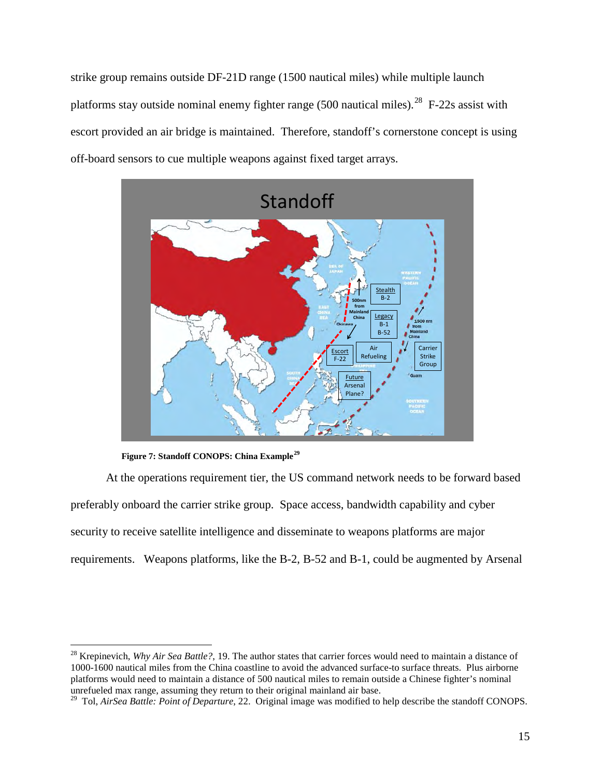strike group remains outside DF-21D range (1500 nautical miles) while multiple launch platforms stay outside nominal enemy fighter range (500 nautical miles).<sup>28</sup> F-22s assist with escort provided an air bridge is maintained. Therefore, standoff's cornerstone concept is using off-board sensors to cue multiple weapons against fixed target arrays.



 **Figure 7: Standoff CONOPS: China Example<sup>29</sup>**

 $\overline{a}$ 

At the operations requirement tier, the US command network needs to be forward based preferably onboard the carrier strike group. Space access, bandwidth capability and cyber security to receive satellite intelligence and disseminate to weapons platforms are major requirements. Weapons platforms, like the B-2, B-52 and B-1, could be augmented by Arsenal

<sup>28</sup> Krepinevich, *Why Air Sea Battle?*, 19. The author states that carrier forces would need to maintain a distance of 1000-1600 nautical miles from the China coastline to avoid the advanced surface-to surface threats. Plus airborne platforms would need to maintain a distance of 500 nautical miles to remain outside a Chinese fighter's nominal unrefueled max range, assuming they return to their original mainland air base.

<sup>&</sup>lt;sup>29</sup> Tol, *AirSea Battle: Point of Departure*, 22. Original image was modified to help describe the standoff CONOPS.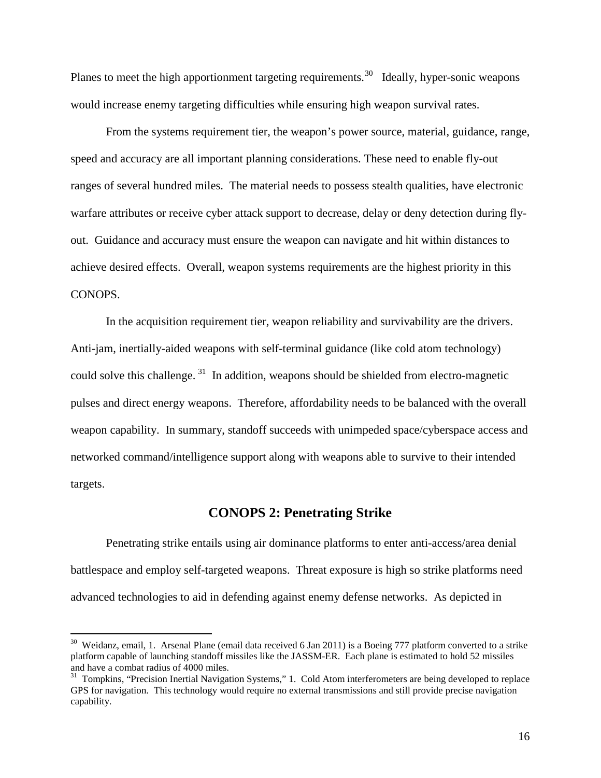Planes to meet the high apportionment targeting requirements.<sup>30</sup> Ideally, hyper-sonic weapons would increase enemy targeting difficulties while ensuring high weapon survival rates.

From the systems requirement tier, the weapon's power source, material, guidance, range, speed and accuracy are all important planning considerations. These need to enable fly-out ranges of several hundred miles. The material needs to possess stealth qualities, have electronic warfare attributes or receive cyber attack support to decrease, delay or deny detection during flyout. Guidance and accuracy must ensure the weapon can navigate and hit within distances to achieve desired effects. Overall, weapon systems requirements are the highest priority in this CONOPS.

In the acquisition requirement tier, weapon reliability and survivability are the drivers. Anti-jam, inertially-aided weapons with self-terminal guidance (like cold atom technology) could solve this challenge.<sup>31</sup> In addition, weapons should be shielded from electro-magnetic pulses and direct energy weapons. Therefore, affordability needs to be balanced with the overall weapon capability. In summary, standoff succeeds with unimpeded space/cyberspace access and networked command/intelligence support along with weapons able to survive to their intended targets.

#### **CONOPS 2: Penetrating Strike**

Penetrating strike entails using air dominance platforms to enter anti-access/area denial battlespace and employ self-targeted weapons. Threat exposure is high so strike platforms need advanced technologies to aid in defending against enemy defense networks. As depicted in

 $30$  Weidanz, email, 1. Arsenal Plane (email data received 6 Jan 2011) is a Boeing 777 platform converted to a strike platform capable of launching standoff missiles like the JASSM-ER. Each plane is estimated to hold 52 missiles and have a combat radius of 4000 miles.

<sup>&</sup>lt;sup>31</sup> Tompkins, "Precision Inertial Navigation Systems," 1. Cold Atom interferometers are being developed to replace GPS for navigation. This technology would require no external transmissions and still provide precise navigation capability.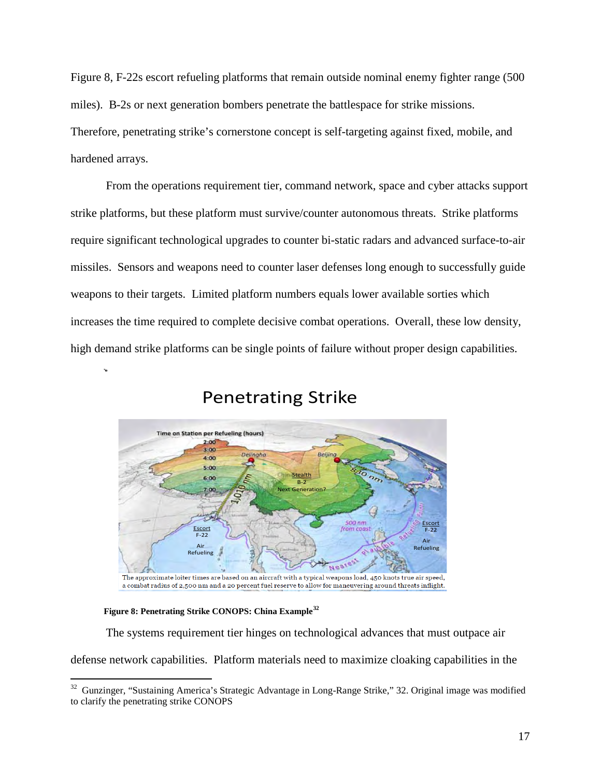Figure 8, F-22s escort refueling platforms that remain outside nominal enemy fighter range (500 miles). B-2s or next generation bombers penetrate the battlespace for strike missions. Therefore, penetrating strike's cornerstone concept is self-targeting against fixed, mobile, and hardened arrays.

From the operations requirement tier, command network, space and cyber attacks support strike platforms, but these platform must survive/counter autonomous threats. Strike platforms require significant technological upgrades to counter bi-static radars and advanced surface-to-air missiles. Sensors and weapons need to counter laser defenses long enough to successfully guide weapons to their targets. Limited platform numbers equals lower available sorties which increases the time required to complete decisive combat operations. Overall, these low density, high demand strike platforms can be single points of failure without proper design capabilities.



# Penetrating Strike

#### **Figure 8: Penetrating Strike CONOPS: China Example<sup>32</sup>**

 $\overline{a}$ 

The systems requirement tier hinges on technological advances that must outpace air

defense network capabilities. Platform materials need to maximize cloaking capabilities in the

 $32$  Gunzinger, "Sustaining America's Strategic Advantage in Long-Range Strike," 32. Original image was modified to clarify the penetrating strike CONOPS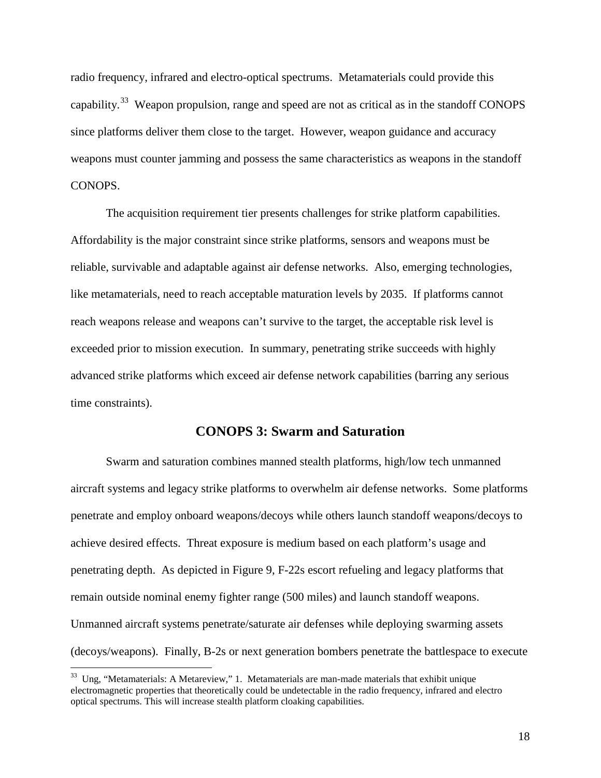radio frequency, infrared and electro-optical spectrums. Metamaterials could provide this capability.<sup>33</sup> Weapon propulsion, range and speed are not as critical as in the standoff CONOPS since platforms deliver them close to the target. However, weapon guidance and accuracy weapons must counter jamming and possess the same characteristics as weapons in the standoff CONOPS.

The acquisition requirement tier presents challenges for strike platform capabilities. Affordability is the major constraint since strike platforms, sensors and weapons must be reliable, survivable and adaptable against air defense networks. Also, emerging technologies, like metamaterials, need to reach acceptable maturation levels by 2035. If platforms cannot reach weapons release and weapons can't survive to the target, the acceptable risk level is exceeded prior to mission execution. In summary, penetrating strike succeeds with highly advanced strike platforms which exceed air defense network capabilities (barring any serious time constraints).

#### **CONOPS 3: Swarm and Saturation**

 Swarm and saturation combines manned stealth platforms, high/low tech unmanned aircraft systems and legacy strike platforms to overwhelm air defense networks. Some platforms penetrate and employ onboard weapons/decoys while others launch standoff weapons/decoys to achieve desired effects. Threat exposure is medium based on each platform's usage and penetrating depth. As depicted in Figure 9, F-22s escort refueling and legacy platforms that remain outside nominal enemy fighter range (500 miles) and launch standoff weapons. Unmanned aircraft systems penetrate/saturate air defenses while deploying swarming assets (decoys/weapons). Finally, B-2s or next generation bombers penetrate the battlespace to execute

 $33$  Ung, "Metamaterials: A Metareview," 1. Metamaterials are man-made materials that exhibit unique electromagnetic properties that theoretically could be undetectable in the radio frequency, infrared and electro optical spectrums. This will increase stealth platform cloaking capabilities.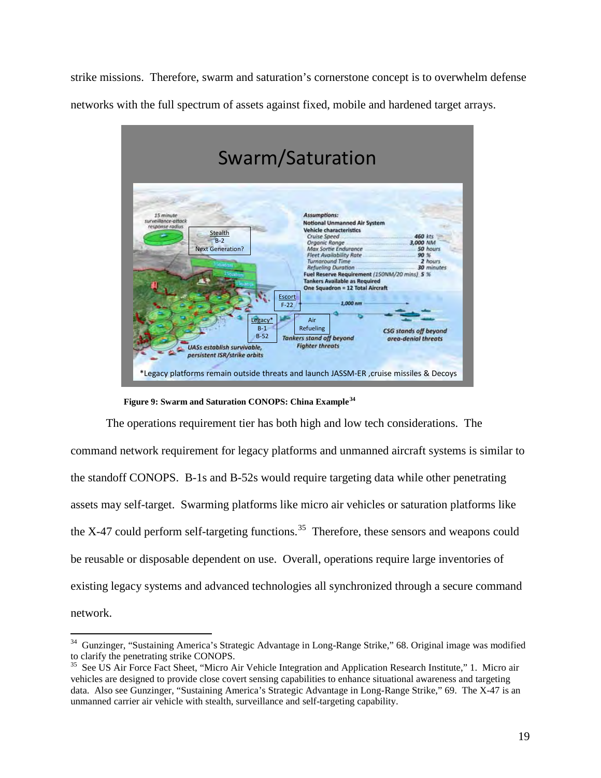strike missions. Therefore, swarm and saturation's cornerstone concept is to overwhelm defense networks with the full spectrum of assets against fixed, mobile and hardened target arrays.



 **Figure 9: Swarm and Saturation CONOPS: China Example<sup>34</sup>**

 $\overline{a}$ 

The operations requirement tier has both high and low tech considerations. The command network requirement for legacy platforms and unmanned aircraft systems is similar to the standoff CONOPS. B-1s and B-52s would require targeting data while other penetrating assets may self-target. Swarming platforms like micro air vehicles or saturation platforms like the X-47 could perform self-targeting functions.<sup>35</sup> Therefore, these sensors and weapons could be reusable or disposable dependent on use. Overall, operations require large inventories of existing legacy systems and advanced technologies all synchronized through a secure command network.

<sup>34</sup> Gunzinger, "Sustaining America's Strategic Advantage in Long-Range Strike," 68. Original image was modified to clarify the penetrating strike CONOPS.

<sup>&</sup>lt;sup>35</sup> See US Air Force Fact Sheet, "Micro Air Vehicle Integration and Application Research Institute," 1. Micro air vehicles are designed to provide close covert sensing capabilities to enhance situational awareness and targeting data. Also see Gunzinger, "Sustaining America's Strategic Advantage in Long-Range Strike," 69. The X-47 is an unmanned carrier air vehicle with stealth, surveillance and self-targeting capability.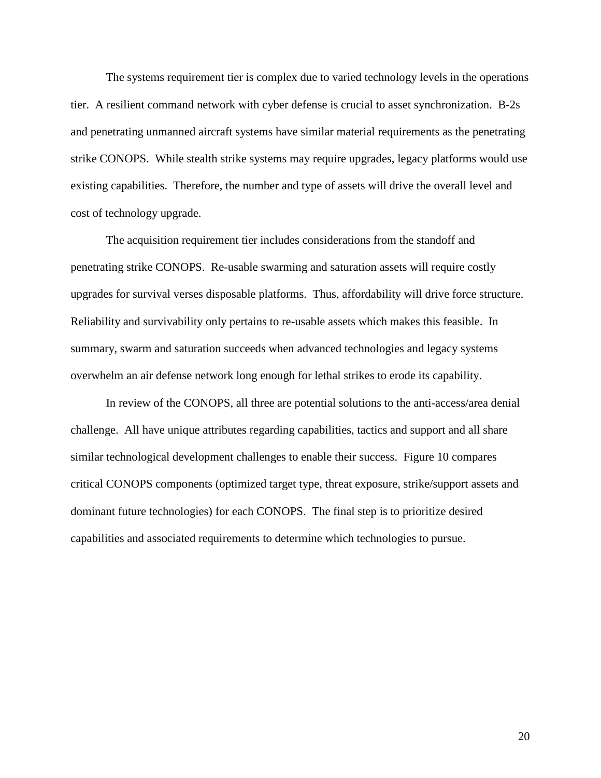The systems requirement tier is complex due to varied technology levels in the operations tier. A resilient command network with cyber defense is crucial to asset synchronization. B-2s and penetrating unmanned aircraft systems have similar material requirements as the penetrating strike CONOPS. While stealth strike systems may require upgrades, legacy platforms would use existing capabilities. Therefore, the number and type of assets will drive the overall level and cost of technology upgrade.

The acquisition requirement tier includes considerations from the standoff and penetrating strike CONOPS. Re-usable swarming and saturation assets will require costly upgrades for survival verses disposable platforms. Thus, affordability will drive force structure. Reliability and survivability only pertains to re-usable assets which makes this feasible. In summary, swarm and saturation succeeds when advanced technologies and legacy systems overwhelm an air defense network long enough for lethal strikes to erode its capability.

In review of the CONOPS, all three are potential solutions to the anti-access/area denial challenge. All have unique attributes regarding capabilities, tactics and support and all share similar technological development challenges to enable their success. Figure 10 compares critical CONOPS components (optimized target type, threat exposure, strike/support assets and dominant future technologies) for each CONOPS. The final step is to prioritize desired capabilities and associated requirements to determine which technologies to pursue.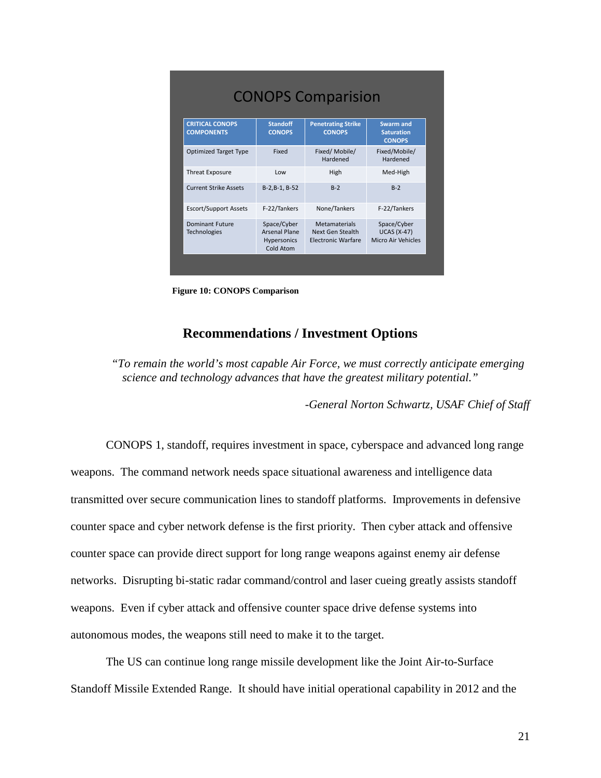| <b>CONOPS Comparision</b>                   |                                                                 |                                                                |                                                         |  |  |
|---------------------------------------------|-----------------------------------------------------------------|----------------------------------------------------------------|---------------------------------------------------------|--|--|
| <b>CRITICAL CONOPS</b><br><b>COMPONENTS</b> | <b>Standoff</b><br><b>CONOPS</b>                                | <b>Penetrating Strike</b><br><b>CONOPS</b>                     | <b>Swarm and</b><br><b>Saturation</b><br><b>CONOPS</b>  |  |  |
| <b>Optimized Target Type</b>                | Fixed                                                           | Fixed/Mobile/<br>Hardened                                      | Fixed/Mobile/<br>Hardened                               |  |  |
| <b>Threat Exposure</b>                      | Low                                                             | High                                                           | Med-High                                                |  |  |
| <b>Current Strike Assets</b>                | $B-2,B-1,B-52$                                                  | $B-2$                                                          | $R-2$                                                   |  |  |
| <b>Escort/Support Assets</b>                | F-22/Tankers                                                    | None/Tankers                                                   | F-22/Tankers                                            |  |  |
| Dominant Future<br><b>Technologies</b>      | Space/Cyber<br><b>Arsenal Plane</b><br>Hypersonics<br>Cold Atom | <b>Metamaterials</b><br>Next Gen Stealth<br>Electronic Warfare | Space/Cyber<br><b>UCAS (X-47)</b><br>Micro Air Vehicles |  |  |

 **Figure 10: CONOPS Comparison**

### **Recommendations / Investment Options**

*"To remain the world's most capable Air Force, we must correctly anticipate emerging science and technology advances that have the greatest military potential."* 

*-General Norton Schwartz, USAF Chief of Staff* 

CONOPS 1, standoff, requires investment in space, cyberspace and advanced long range weapons. The command network needs space situational awareness and intelligence data transmitted over secure communication lines to standoff platforms. Improvements in defensive counter space and cyber network defense is the first priority. Then cyber attack and offensive counter space can provide direct support for long range weapons against enemy air defense networks. Disrupting bi-static radar command/control and laser cueing greatly assists standoff weapons. Even if cyber attack and offensive counter space drive defense systems into autonomous modes, the weapons still need to make it to the target.

The US can continue long range missile development like the Joint Air-to-Surface Standoff Missile Extended Range. It should have initial operational capability in 2012 and the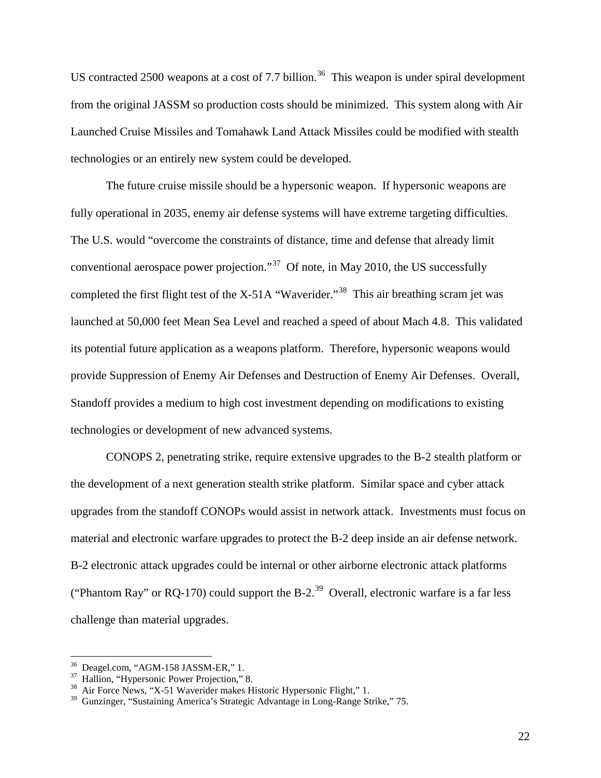US contracted 2500 weapons at a cost of 7.7 billion.<sup>36</sup> This weapon is under spiral development from the original JASSM so production costs should be minimized. This system along with Air Launched Cruise Missiles and Tomahawk Land Attack Missiles could be modified with stealth technologies or an entirely new system could be developed.

The future cruise missile should be a hypersonic weapon. If hypersonic weapons are fully operational in 2035, enemy air defense systems will have extreme targeting difficulties. The U.S. would "overcome the constraints of distance, time and defense that already limit conventional aerospace power projection."<sup>37</sup> Of note, in May 2010, the US successfully completed the first flight test of the X-51A "Waverider."<sup>38</sup> This air breathing scram jet was launched at 50,000 feet Mean Sea Level and reached a speed of about Mach 4.8. This validated its potential future application as a weapons platform. Therefore, hypersonic weapons would provide Suppression of Enemy Air Defenses and Destruction of Enemy Air Defenses. Overall, Standoff provides a medium to high cost investment depending on modifications to existing technologies or development of new advanced systems.

CONOPS 2, penetrating strike, require extensive upgrades to the B-2 stealth platform or the development of a next generation stealth strike platform. Similar space and cyber attack upgrades from the standoff CONOPs would assist in network attack. Investments must focus on material and electronic warfare upgrades to protect the B-2 deep inside an air defense network. B-2 electronic attack upgrades could be internal or other airborne electronic attack platforms ("Phantom Ray" or RQ-170) could support the B-2.<sup>39</sup> Overall, electronic warfare is a far less challenge than material upgrades.

 $36$  Deagel.com, "AGM-158 JASSM-ER," 1.<br> $37$  Hallion, "Hypersonic Power Projection," 8.

 $38$  Air Force News, "X-51 Waverider makes Historic Hypersonic Flight," 1.

<sup>&</sup>lt;sup>39</sup> Gunzinger, "Sustaining America's Strategic Advantage in Long-Range Strike," 75.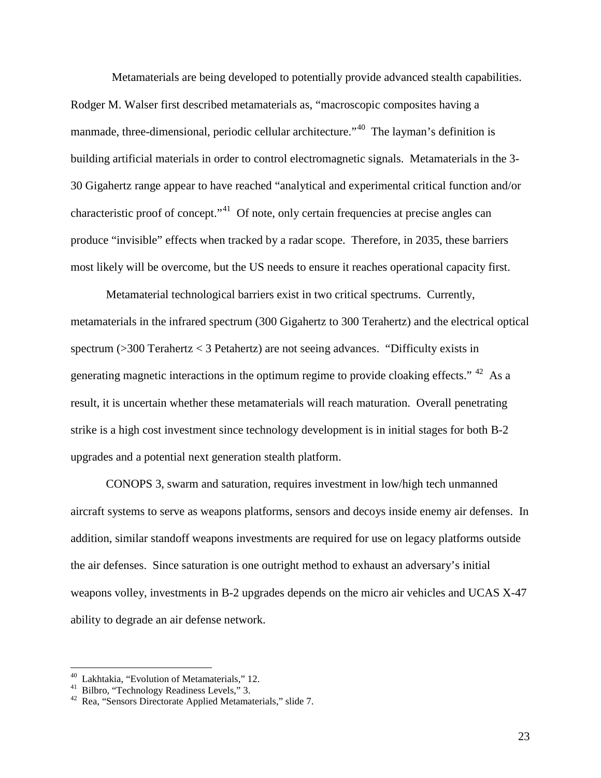Metamaterials are being developed to potentially provide advanced stealth capabilities. Rodger M. Walser first described metamaterials as, "macroscopic composites having a manmade, three-dimensional, periodic cellular architecture."<sup>40</sup> The layman's definition is building artificial materials in order to control electromagnetic signals. Metamaterials in the 3- 30 Gigahertz range appear to have reached "analytical and experimental critical function and/or characteristic proof of concept."<sup>41</sup> Of note, only certain frequencies at precise angles can produce "invisible" effects when tracked by a radar scope. Therefore, in 2035, these barriers most likely will be overcome, but the US needs to ensure it reaches operational capacity first.

Metamaterial technological barriers exist in two critical spectrums. Currently, metamaterials in the infrared spectrum (300 Gigahertz to 300 Terahertz) and the electrical optical spectrum (>300 Terahertz < 3 Petahertz) are not seeing advances. "Difficulty exists in generating magnetic interactions in the optimum regime to provide cloaking effects."  $42$  As a result, it is uncertain whether these metamaterials will reach maturation. Overall penetrating strike is a high cost investment since technology development is in initial stages for both B-2 upgrades and a potential next generation stealth platform.

CONOPS 3, swarm and saturation, requires investment in low/high tech unmanned aircraft systems to serve as weapons platforms, sensors and decoys inside enemy air defenses. In addition, similar standoff weapons investments are required for use on legacy platforms outside the air defenses. Since saturation is one outright method to exhaust an adversary's initial weapons volley, investments in B-2 upgrades depends on the micro air vehicles and UCAS X-47 ability to degrade an air defense network.

 $\overline{a}$ 

23

<sup>&</sup>lt;sup>40</sup> Lakhtakia, "Evolution of Metamaterials," 12.<br><sup>41</sup> Bilbro, "Technology Readiness Levels," 3.<br><sup>42</sup> Rea, "Sensors Directorate Applied Metamaterials," slide 7.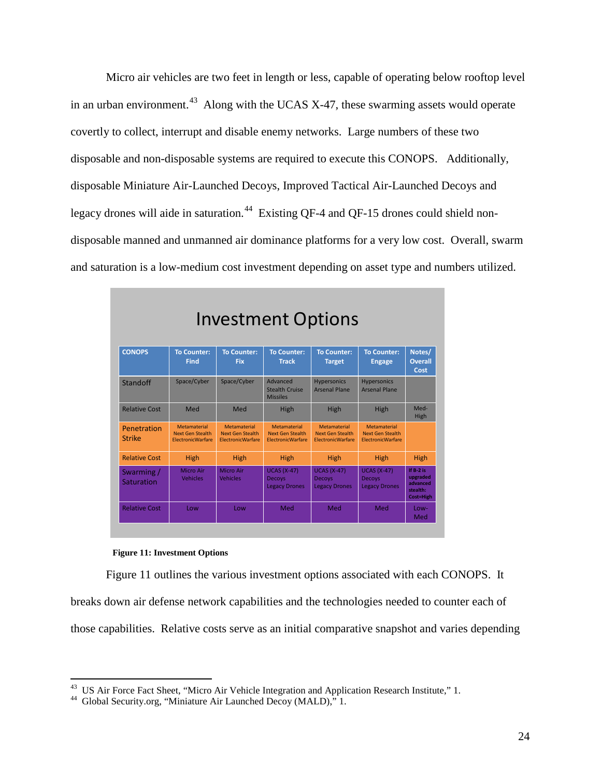Micro air vehicles are two feet in length or less, capable of operating below rooftop level in an urban environment.<sup>43</sup> Along with the UCAS X-47, these swarming assets would operate covertly to collect, interrupt and disable enemy networks. Large numbers of these two disposable and non-disposable systems are required to execute this CONOPS. Additionally, disposable Miniature Air-Launched Decoys, Improved Tactical Air-Launched Decoys and legacy drones will aide in saturation.<sup>44</sup> Existing QF-4 and QF-15 drones could shield nondisposable manned and unmanned air dominance platforms for a very low cost. Overall, swarm and saturation is a low-medium cost investment depending on asset type and numbers utilized.

| <b>Investment Options</b> |                                                                            |                                                                            |                                                                            |                                                                            |                                                                            |                                                              |  |
|---------------------------|----------------------------------------------------------------------------|----------------------------------------------------------------------------|----------------------------------------------------------------------------|----------------------------------------------------------------------------|----------------------------------------------------------------------------|--------------------------------------------------------------|--|
| <b>CONOPS</b>             | <b>To Counter:</b><br><b>Find</b>                                          | <b>To Counter:</b><br>Fix                                                  | <b>To Counter:</b><br><b>Track</b>                                         | <b>To Counter:</b><br><b>Target</b>                                        | <b>To Counter:</b><br><b>Engage</b>                                        | Notes/<br><b>Overall</b><br>Cost                             |  |
| Standoff                  | Space/Cyber                                                                | Space/Cyber                                                                | Advanced<br><b>Stealth Cruise</b><br><b>Missiles</b>                       | <b>Hypersonics</b><br><b>Arsenal Plane</b>                                 | <b>Hypersonics</b><br><b>Arsenal Plane</b>                                 |                                                              |  |
| <b>Relative Cost</b>      | Med                                                                        | Med                                                                        | High                                                                       | High                                                                       | High                                                                       | Med-<br>High                                                 |  |
| Penetration<br>Strike     | <b>Metamaterial</b><br><b>Next Gen Stealth</b><br><b>FlectronicWarfare</b> | <b>Metamaterial</b><br><b>Next Gen Stealth</b><br><b>FlectronicWarfare</b> | <b>Metamaterial</b><br><b>Next Gen Stealth</b><br><b>FlectronicWarfare</b> | <b>Metamaterial</b><br><b>Next Gen Stealth</b><br><b>FlectronicWarfare</b> | <b>Metamaterial</b><br><b>Next Gen Stealth</b><br><b>FlectronicWarfare</b> |                                                              |  |
| <b>Relative Cost</b>      | <b>High</b>                                                                | High                                                                       | High                                                                       | High                                                                       | High                                                                       | High                                                         |  |
| Swarming /<br>Saturation  | Micro Air<br><b>Vehicles</b>                                               | Micro Air<br><b>Vehicles</b>                                               | <b>UCAS (X-47)</b><br>Decoys<br><b>Legacy Drones</b>                       | <b>UCAS (X-47)</b><br><b>Decoys</b><br><b>Legacy Drones</b>                | <b>UCAS (X-47)</b><br><b>Decovs</b><br><b>Legacy Drones</b>                | If $B-2$ is<br>upgraded<br>advanced<br>stealth:<br>Cost=High |  |
| <b>Relative Cost</b>      | Low                                                                        | Low                                                                        | Med                                                                        | Med                                                                        | Med                                                                        | Low-<br>Med                                                  |  |

#### **Figure 11: Investment Options**

 $\overline{a}$ 

Figure 11 outlines the various investment options associated with each CONOPS. It

breaks down air defense network capabilities and the technologies needed to counter each of

those capabilities. Relative costs serve as an initial comparative snapshot and varies depending

<sup>&</sup>lt;sup>43</sup> US Air Force Fact Sheet, "Micro Air Vehicle Integration and Application Research Institute," 1.<br><sup>44</sup> Global Security.org, "Miniature Air Launched Decoy (MALD)," 1.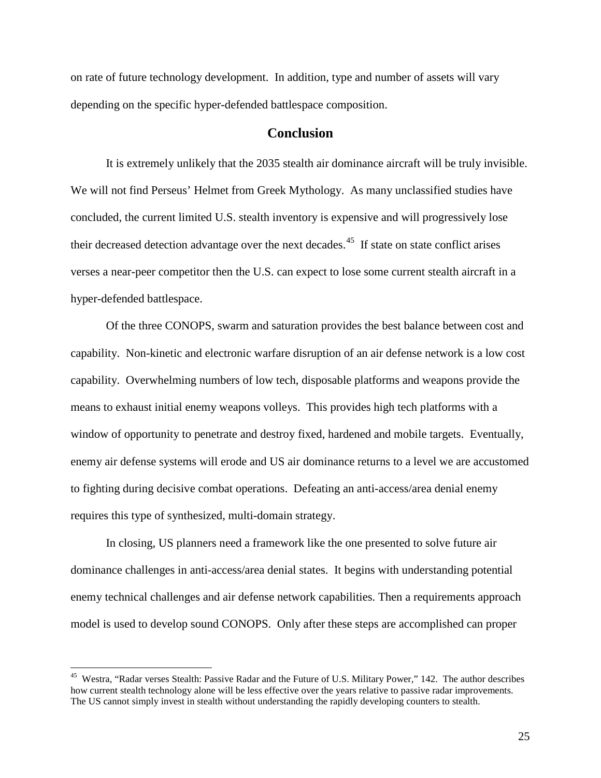on rate of future technology development. In addition, type and number of assets will vary depending on the specific hyper-defended battlespace composition.

### **Conclusion**

It is extremely unlikely that the 2035 stealth air dominance aircraft will be truly invisible. We will not find Perseus' Helmet from Greek Mythology. As many unclassified studies have concluded, the current limited U.S. stealth inventory is expensive and will progressively lose their decreased detection advantage over the next decades.<sup>45</sup> If state on state conflict arises verses a near-peer competitor then the U.S. can expect to lose some current stealth aircraft in a hyper-defended battlespace.

Of the three CONOPS, swarm and saturation provides the best balance between cost and capability. Non-kinetic and electronic warfare disruption of an air defense network is a low cost capability. Overwhelming numbers of low tech, disposable platforms and weapons provide the means to exhaust initial enemy weapons volleys. This provides high tech platforms with a window of opportunity to penetrate and destroy fixed, hardened and mobile targets. Eventually, enemy air defense systems will erode and US air dominance returns to a level we are accustomed to fighting during decisive combat operations. Defeating an anti-access/area denial enemy requires this type of synthesized, multi-domain strategy.

In closing, US planners need a framework like the one presented to solve future air dominance challenges in anti-access/area denial states. It begins with understanding potential enemy technical challenges and air defense network capabilities. Then a requirements approach model is used to develop sound CONOPS. Only after these steps are accomplished can proper

<sup>&</sup>lt;sup>45</sup> Westra, "Radar verses Stealth: Passive Radar and the Future of U.S. Military Power," 142. The author describes how current stealth technology alone will be less effective over the years relative to passive radar improvements. The US cannot simply invest in stealth without understanding the rapidly developing counters to stealth.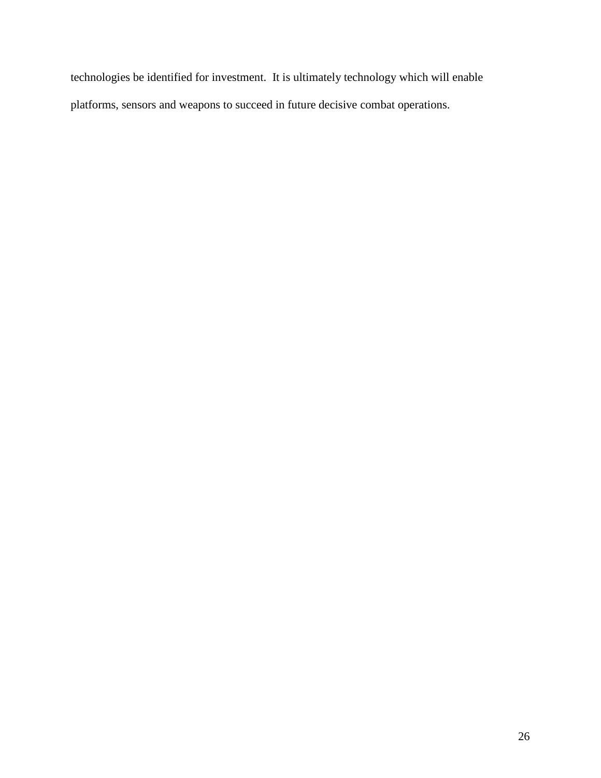technologies be identified for investment. It is ultimately technology which will enable platforms, sensors and weapons to succeed in future decisive combat operations.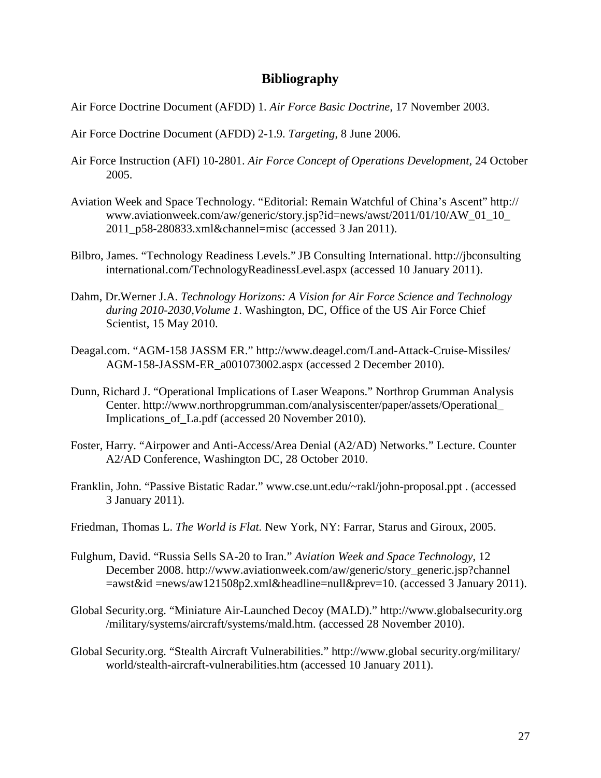### **Bibliography**

- Air Force Doctrine Document (AFDD) 1. *Air Force Basic Doctrine*, 17 November 2003.
- Air Force Doctrine Document (AFDD) 2-1.9. *Targeting*, 8 June 2006.
- Air Force Instruction (AFI) 10-2801. *Air Force Concept of Operations Development,* 24 October 2005.
- Aviation Week and Space Technology. "Editorial: Remain Watchful of China's Ascent" http:// www.aviationweek.com/aw/generic/story.jsp?id=news/awst/2011/01/10/AW\_01\_10\_ 2011\_p58-280833.xml&channel=misc (accessed 3 Jan 2011).
- Bilbro, James. "Technology Readiness Levels." JB Consulting International. http://jbconsulting international.com/TechnologyReadinessLevel.aspx (accessed 10 January 2011).
- Dahm, Dr.Werner J.A. *Technology Horizons: A Vision for Air Force Science and Technology during 2010-2030,Volume 1*. Washington, DC, Office of the US Air Force Chief Scientist, 15 May 2010.
- Deagal.com. "AGM-158 JASSM ER." http://www.deagel.com/Land-Attack-Cruise-Missiles/ AGM-158-JASSM-ER\_a001073002.aspx (accessed 2 December 2010).
- Dunn, Richard J. "Operational Implications of Laser Weapons." Northrop Grumman Analysis Center. http://www.northropgrumman.com/analysiscenter/paper/assets/Operational\_ Implications\_of\_La.pdf (accessed 20 November 2010).
- Foster, Harry. "Airpower and Anti-Access/Area Denial (A2/AD) Networks." Lecture. Counter A2/AD Conference, Washington DC, 28 October 2010.
- Franklin, John. "Passive Bistatic Radar." www.cse.unt.edu/~rakl/john-proposal.ppt . (accessed 3 January 2011).
- Friedman, Thomas L. *The World is Flat.* New York, NY: Farrar, Starus and Giroux, 2005.
- Fulghum, David. "Russia Sells SA-20 to Iran." *Aviation Week and Space Technology*, 12 December 2008. http://www.aviationweek.com/aw/generic/story\_generic.jsp?channel =awst&id =news/aw121508p2.xml&headline=null&prev=10. (accessed 3 January 2011).
- Global Security.org. "Miniature Air-Launched Decoy (MALD)." http://www.globalsecurity.org /military/systems/aircraft/systems/mald.htm. (accessed 28 November 2010).
- Global Security.org. "Stealth Aircraft Vulnerabilities." http://www.global security.org/military/ world/stealth-aircraft-vulnerabilities.htm (accessed 10 January 2011).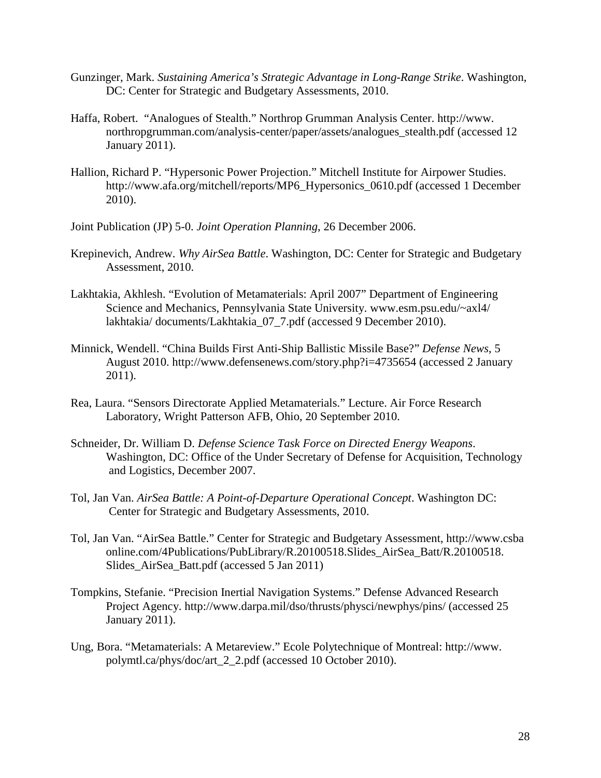- Gunzinger, Mark. *Sustaining America's Strategic Advantage in Long-Range Strike*. Washington, DC: Center for Strategic and Budgetary Assessments, 2010.
- Haffa, Robert. "Analogues of Stealth." Northrop Grumman Analysis Center. http://www. northropgrumman.com/analysis-center/paper/assets/analogues\_stealth.pdf (accessed 12 January 2011).
- Hallion, Richard P. "Hypersonic Power Projection." Mitchell Institute for Airpower Studies. http://www.afa.org/mitchell/reports/MP6\_Hypersonics\_0610.pdf (accessed 1 December 2010).
- Joint Publication (JP) 5-0. *Joint Operation Planning*, 26 December 2006.
- Krepinevich, Andrew. *Why AirSea Battle*. Washington, DC: Center for Strategic and Budgetary Assessment, 2010.
- Lakhtakia, Akhlesh. "Evolution of Metamaterials: April 2007" Department of Engineering Science and Mechanics, Pennsylvania State University. www.esm.psu.edu/~axl4/ lakhtakia/ documents/Lakhtakia\_07\_7.pdf (accessed 9 December 2010).
- Minnick, Wendell. "China Builds First Anti-Ship Ballistic Missile Base?" *Defense News*, 5 August 2010. http://www.defensenews.com/story.php?i=4735654 (accessed 2 January 2011).
- Rea, Laura. "Sensors Directorate Applied Metamaterials." Lecture. Air Force Research Laboratory, Wright Patterson AFB, Ohio, 20 September 2010.
- Schneider, Dr. William D. *Defense Science Task Force on Directed Energy Weapons*. Washington, DC: Office of the Under Secretary of Defense for Acquisition, Technology and Logistics, December 2007.
- Tol, Jan Van. *AirSea Battle: A Point-of-Departure Operational Concept*. Washington DC: Center for Strategic and Budgetary Assessments, 2010.
- Tol, Jan Van. "AirSea Battle." Center for Strategic and Budgetary Assessment, http://www.csba online.com/4Publications/PubLibrary/R.20100518.Slides\_AirSea\_Batt/R.20100518. Slides AirSea Batt.pdf (accessed 5 Jan 2011)
- Tompkins, Stefanie. "Precision Inertial Navigation Systems." Defense Advanced Research Project Agency. http://www.darpa.mil/dso/thrusts/physci/newphys/pins/ (accessed 25 January 2011).
- Ung, Bora. "Metamaterials: A Metareview." Ecole Polytechnique of Montreal: http://www. polymtl.ca/phys/doc/art\_2\_2.pdf (accessed 10 October 2010).